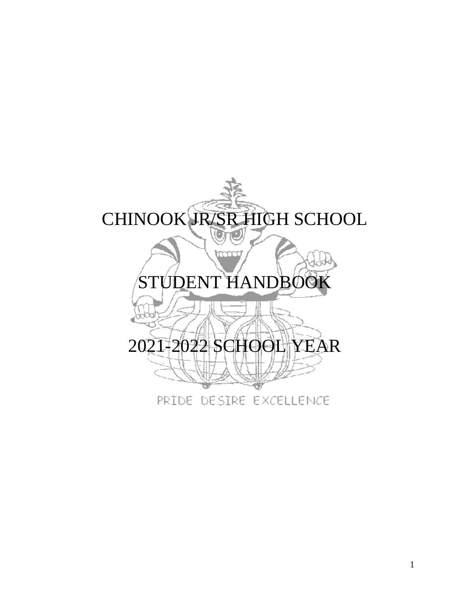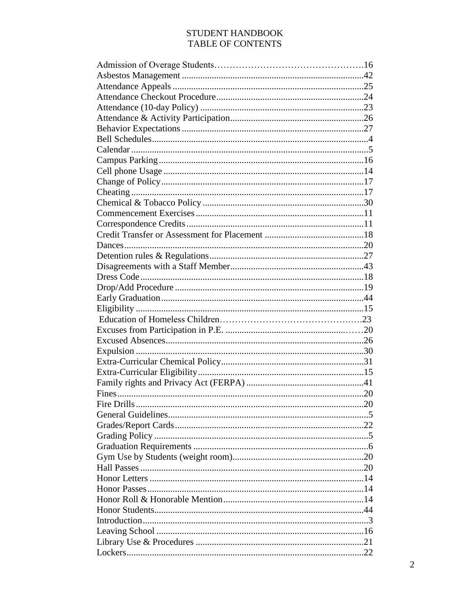### STUDENT HANDBOOK TABLE OF CONTENTS

| Fire Drills | .20 |
|-------------|-----|
|             |     |
|             |     |
|             |     |
|             |     |
|             |     |
|             |     |
|             |     |
|             |     |
|             |     |
|             |     |
|             |     |
|             |     |
|             |     |
|             |     |
|             |     |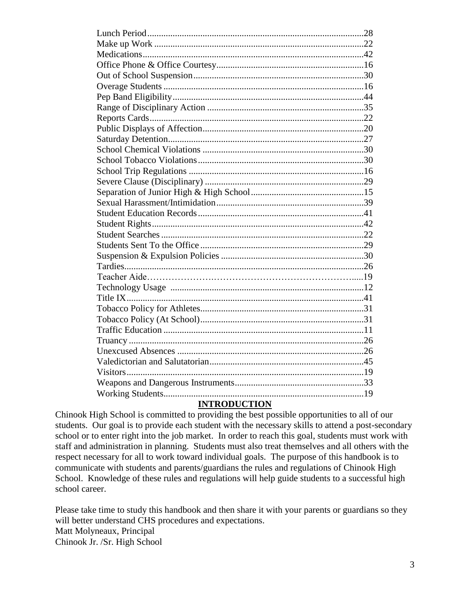| <b>INTERNATIONAL</b> |  |
|----------------------|--|

#### **INTRODUCTION**

Chinook High School is committed to providing the best possible opportunities to all of our students. Our goal is to provide each student with the necessary skills to attend a post-secondary school or to enter right into the job market. In order to reach this goal, students must work with staff and administration in planning. Students must also treat themselves and all others with the respect necessary for all to work toward individual goals. The purpose of this handbook is to communicate with students and parents/guardians the rules and regulations of Chinook High School. Knowledge of these rules and regulations will help guide students to a successful high school career.

Please take time to study this handbook and then share it with your parents or guardians so they will better understand CHS procedures and expectations. Matt Molyneaux, Principal Chinook Jr. /Sr. High School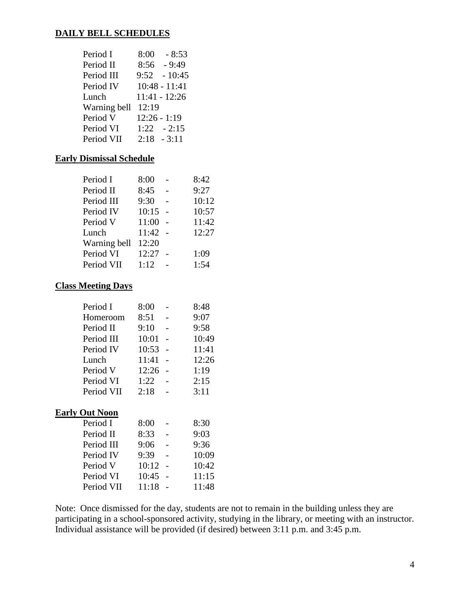### **DAILY BELL SCHEDULES**

| Period I     | $-8:53$<br>8:00 |
|--------------|-----------------|
| Period II    | $8:56 - 9:49$   |
| Period III   | $9:52 - 10:45$  |
| Period IV    | $10:48 - 11:41$ |
| Lunch        | $11:41 - 12:26$ |
| Warning bell | 12:19           |
| Period V     | $12:26 - 1:19$  |
| Period VI    | $1:22 - 2:15$   |
| Period VII   | $2:18 - 3:11$   |

### **Early Dismissal Schedule**

| Period I     | 8:00  | 8:42  |
|--------------|-------|-------|
| Period II    | 8:45  | 9:27  |
| Period III   | 9:30  | 10:12 |
| Period IV    | 10:15 | 10:57 |
| Period V     | 11:00 | 11:42 |
| Lunch        | 11:42 | 12:27 |
| Warning bell | 12:20 |       |
| Period VI    | 12:27 | 1:09  |
| Period VII   | 1:12  | 1:54  |
|              |       |       |

### **Class Meeting Days**

| Period I   | 8:00  | 8:48  |
|------------|-------|-------|
| Homeroom   | 8:51  | 9:07  |
| Period II  | 9:10  | 9:58  |
| Period III | 10:01 | 10:49 |
| Period IV  | 10:53 | 11:41 |
| Lunch      | 11:41 | 12:26 |
| Period V   | 12:26 | 1:19  |
| Period VI  | 1:22  | 2:15  |
| Period VII | 2:18  | 3:11  |

## **Early Out Noon**

| Period I   | 8:00  | 8:30  |
|------------|-------|-------|
| Period II  | 8:33  | 9:03  |
| Period III | 9:06  | 9:36  |
| Period IV  | 9:39  | 10:09 |
| Period V   | 10:12 | 10:42 |
| Period VI  | 10:45 | 11:15 |
| Period VII | 11:18 | 11:48 |
|            |       |       |

Note: Once dismissed for the day, students are not to remain in the building unless they are participating in a school-sponsored activity, studying in the library, or meeting with an instructor. Individual assistance will be provided (if desired) between 3:11 p.m. and 3:45 p.m.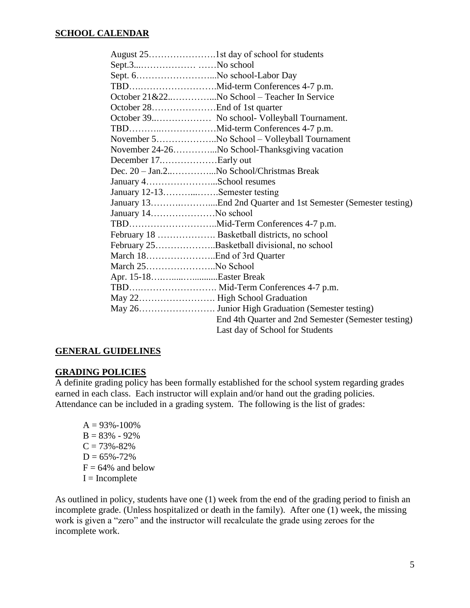### **SCHOOL CALENDAR**

| Sept.3No school               |                                                     |
|-------------------------------|-----------------------------------------------------|
| Sept. 6No school-Labor Day    |                                                     |
|                               |                                                     |
|                               | October 21&22No School – Teacher In Service         |
|                               |                                                     |
|                               | October 39 No school- Volleyball Tournament.        |
|                               |                                                     |
|                               | November 5No School - Volleyball Tournament         |
|                               | November 24-26No School-Thanksgiving vacation       |
|                               |                                                     |
|                               | Dec. 20 - Jan.2No School/Christmas Break            |
| January 4School resumes       |                                                     |
| January 12-13Semester testing |                                                     |
|                               |                                                     |
|                               |                                                     |
|                               |                                                     |
|                               |                                                     |
|                               | February 25Basketball divisional, no school         |
|                               |                                                     |
| March 25No School             |                                                     |
| Apr. 15-18Easter Break        |                                                     |
|                               |                                                     |
|                               |                                                     |
|                               |                                                     |
|                               | End 4th Quarter and 2nd Semester (Semester testing) |
|                               | Last day of School for Students                     |

#### **GENERAL GUIDELINES**

### **GRADING POLICIES**

A definite grading policy has been formally established for the school system regarding grades earned in each class. Each instructor will explain and/or hand out the grading policies. Attendance can be included in a grading system. The following is the list of grades:

 $A = 93\% - 100\%$  $B = 83\% - 92\%$  $C = 73\% - 82\%$  $D = 65\% - 72\%$  $F = 64\%$  and below  $I = Incomplete$ 

As outlined in policy, students have one (1) week from the end of the grading period to finish an incomplete grade. (Unless hospitalized or death in the family). After one (1) week, the missing work is given a "zero" and the instructor will recalculate the grade using zeroes for the incomplete work.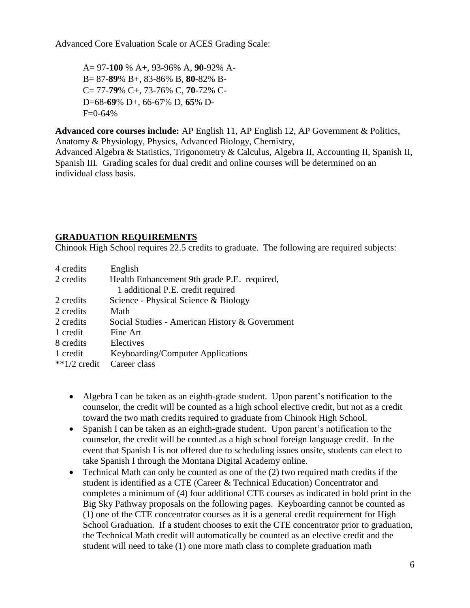A= 97-**100** % A+, 93-96% A, **90**-92% A-B= 87-**89**% B+, 83-86% B, **80**-82% B-C= 77-**79**% C+, 73-76% C, **70**-72% C-D=68-**69**% D+, 66-67% D, **65**% D- $F=0-64%$ 

**Advanced core courses include:** AP English 11, AP English 12, AP Government & Politics, Anatomy & Physiology, Physics, Advanced Biology, Chemistry,

Advanced Algebra & Statistics, Trigonometry & Calculus, Algebra II, Accounting II, Spanish II, Spanish III. Grading scales for dual credit and online courses will be determined on an individual class basis.

## **GRADUATION REQUIREMENTS**

Chinook High School requires 22.5 credits to graduate. The following are required subjects:

| 4 credits       | English                                        |
|-----------------|------------------------------------------------|
| 2 credits       | Health Enhancement 9th grade P.E. required,    |
|                 | 1 additional P.E. credit required              |
| 2 credits       | Science - Physical Science & Biology           |
| 2 credits       | Math                                           |
| 2 credits       | Social Studies - American History & Government |
| 1 credit        | Fine Art                                       |
| 8 credits       | Electives                                      |
| 1 credit        | Keyboarding/Computer Applications              |
| ** $1/2$ credit | Career class                                   |

- Algebra I can be taken as an eighth-grade student. Upon parent's notification to the counselor, the credit will be counted as a high school elective credit, but not as a credit toward the two math credits required to graduate from Chinook High School.
- Spanish I can be taken as an eighth-grade student. Upon parent's notification to the counselor, the credit will be counted as a high school foreign language credit. In the event that Spanish I is not offered due to scheduling issues onsite, students can elect to take Spanish I through the Montana Digital Academy online.
- Technical Math can only be counted as one of the (2) two required math credits if the student is identified as a CTE (Career & Technical Education) Concentrator and completes a minimum of (4) four additional CTE courses as indicated in bold print in the Big Sky Pathway proposals on the following pages. Keyboarding cannot be counted as (1) one of the CTE concentrator courses as it is a general credit requirement for High School Graduation. If a student chooses to exit the CTE concentrator prior to graduation, the Technical Math credit will automatically be counted as an elective credit and the student will need to take (1) one more math class to complete graduation math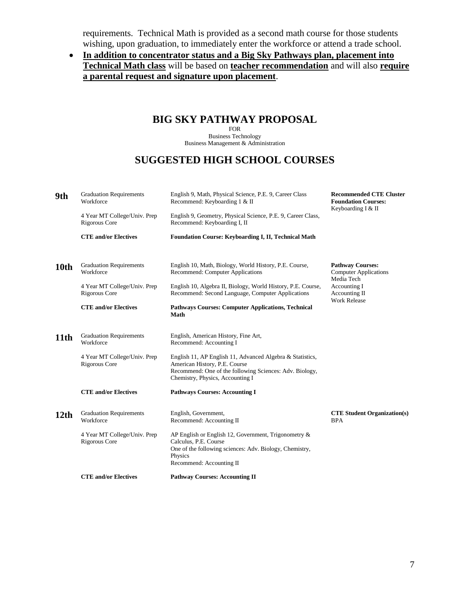requirements. Technical Math is provided as a second math course for those students wishing, upon graduation, to immediately enter the workforce or attend a trade school.

### • **In addition to concentrator status and a Big Sky Pathways plan, placement into Technical Math class** will be based on **teacher recommendation** and will also **require a parental request and signature upon placement**.

# **BIG SKY PATHWAY PROPOSAL**

FOR Business Technology Business Management & Administration

# **SUGGESTED HIGH SCHOOL COURSES**

| 9th              | <b>Graduation Requirements</b><br>Workforce   | English 9, Math, Physical Science, P.E. 9, Career Class<br>Recommend: Keyboarding 1 & II                                                                                                  | <b>Recommended CTE Cluster</b><br><b>Foundation Courses:</b><br>Keyboarding I & II |
|------------------|-----------------------------------------------|-------------------------------------------------------------------------------------------------------------------------------------------------------------------------------------------|------------------------------------------------------------------------------------|
|                  | 4 Year MT College/Univ. Prep<br>Rigorous Core | English 9, Geometry, Physical Science, P.E. 9, Career Class,<br>Recommend: Keyboarding I, II                                                                                              |                                                                                    |
|                  | <b>CTE and/or Electives</b>                   | Foundation Course: Keyboarding I, II, Technical Math                                                                                                                                      |                                                                                    |
| 10th             | <b>Graduation Requirements</b><br>Workforce   | English 10, Math, Biology, World History, P.E. Course,<br>Recommend: Computer Applications                                                                                                | <b>Pathway Courses:</b><br><b>Computer Applications</b><br>Media Tech              |
|                  | 4 Year MT College/Univ. Prep<br>Rigorous Core | English 10, Algebra II, Biology, World History, P.E. Course,<br>Recommend: Second Language, Computer Applications                                                                         | <b>Accounting I</b><br>Accounting II<br><b>Work Release</b>                        |
|                  | <b>CTE and/or Electives</b>                   | <b>Pathways Courses: Computer Applications, Technical</b><br><b>Math</b>                                                                                                                  |                                                                                    |
| 11th             | <b>Graduation Requirements</b><br>Workforce   | English, American History, Fine Art,<br>Recommend: Accounting I                                                                                                                           |                                                                                    |
|                  | 4 Year MT College/Univ. Prep<br>Rigorous Core | English 11, AP English 11, Advanced Algebra & Statistics,<br>American History, P.E. Course<br>Recommend: One of the following Sciences: Adv. Biology,<br>Chemistry, Physics, Accounting I |                                                                                    |
|                  | <b>CTE and/or Electives</b>                   | <b>Pathways Courses: Accounting I</b>                                                                                                                                                     |                                                                                    |
| 12 <sub>th</sub> | <b>Graduation Requirements</b><br>Workforce   | English, Government,<br>Recommend: Accounting II                                                                                                                                          | <b>CTE Student Organization(s)</b><br><b>BPA</b>                                   |
|                  | 4 Year MT College/Univ. Prep<br>Rigorous Core | AP English or English 12, Government, Trigonometry $\&$<br>Calculus, P.E. Course<br>One of the following sciences: Adv. Biology, Chemistry,<br>Physics<br>Recommend: Accounting II        |                                                                                    |
|                  | <b>CTE and/or Electives</b>                   | <b>Pathway Courses: Accounting II</b>                                                                                                                                                     |                                                                                    |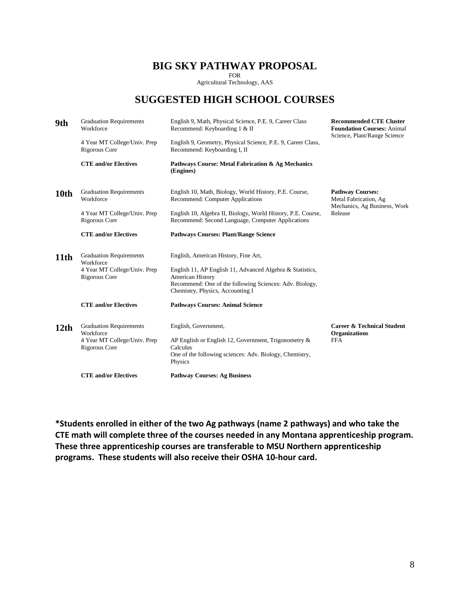### **BIG SKY PATHWAY PROPOSAL**

FOR Agricultural Technology, AAS

# **SUGGESTED HIGH SCHOOL COURSES**

| 9th              | <b>Graduation Requirements</b><br>Workforce   | English 9, Math, Physical Science, P.E. 9, Career Class<br>Recommend: Keyboarding 1 & II                                                                                     | <b>Recommended CTE Cluster</b><br><b>Foundation Courses: Animal</b><br>Science, Plant/Range Science |
|------------------|-----------------------------------------------|------------------------------------------------------------------------------------------------------------------------------------------------------------------------------|-----------------------------------------------------------------------------------------------------|
|                  | 4 Year MT College/Univ. Prep<br>Rigorous Core | English 9, Geometry, Physical Science, P.E. 9, Career Class,<br>Recommend: Keyboarding I, II                                                                                 |                                                                                                     |
|                  | <b>CTE and/or Electives</b>                   | Pathways Course: Metal Fabrication & Ag Mechanics<br>(Engines)                                                                                                               |                                                                                                     |
| 10th             | <b>Graduation Requirements</b><br>Workforce   | English 10, Math, Biology, World History, P.E. Course,<br>Recommend: Computer Applications                                                                                   | <b>Pathway Courses:</b><br>Metal Fabrication, Ag<br>Mechanics, Ag Business, Work                    |
|                  | 4 Year MT College/Univ. Prep<br>Rigorous Core | English 10, Algebra II, Biology, World History, P.E. Course,<br>Recommend: Second Language, Computer Applications                                                            | Release                                                                                             |
|                  | <b>CTE</b> and/or Electives                   | <b>Pathways Courses: Plant/Range Science</b>                                                                                                                                 |                                                                                                     |
| 11th             | <b>Graduation Requirements</b><br>Workforce   | English, American History, Fine Art,                                                                                                                                         |                                                                                                     |
|                  | 4 Year MT College/Univ. Prep<br>Rigorous Core | English 11, AP English 11, Advanced Algebra & Statistics,<br>American History<br>Recommend: One of the following Sciences: Adv. Biology,<br>Chemistry, Physics, Accounting I |                                                                                                     |
|                  | <b>CTE</b> and/or Electives                   | <b>Pathways Courses: Animal Science</b>                                                                                                                                      |                                                                                                     |
| 12 <sub>th</sub> | <b>Graduation Requirements</b><br>Workforce   | English, Government,                                                                                                                                                         | <b>Career &amp; Technical Student</b><br><b>Organizations</b>                                       |
|                  | 4 Year MT College/Univ. Prep<br>Rigorous Core | AP English or English 12, Government, Trigonometry $\&$<br>Calculus<br>One of the following sciences: Adv. Biology, Chemistry,<br>Physics                                    | <b>FFA</b>                                                                                          |
|                  | <b>CTE</b> and/or Electives                   | <b>Pathway Courses: Ag Business</b>                                                                                                                                          |                                                                                                     |

**\*Students enrolled in either of the two Ag pathways (name 2 pathways) and who take the CTE math will complete three of the courses needed in any Montana apprenticeship program. These three apprenticeship courses are transferable to MSU Northern apprenticeship programs. These students will also receive their OSHA 10-hour card.**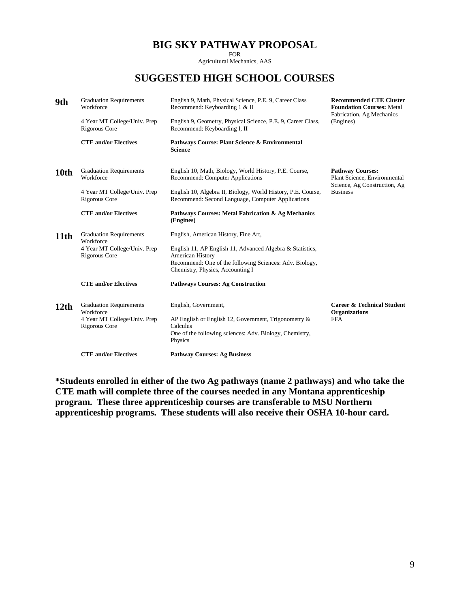# **BIG SKY PATHWAY PROPOSAL**

FOR

Agricultural Mechanics, AAS

# **SUGGESTED HIGH SCHOOL COURSES**

| 9th  | <b>Graduation Requirements</b><br>Workforce<br>4 Year MT College/Univ. Prep<br>Rigorous Core<br><b>CTE and/or Electives</b> | English 9, Math, Physical Science, P.E. 9, Career Class<br>Recommend: Keyboarding 1 & II<br>English 9, Geometry, Physical Science, P.E. 9, Career Class,<br>Recommend: Keyboarding I, II<br>Pathways Course: Plant Science & Environmental<br><b>Science</b> | <b>Recommended CTE Cluster</b><br><b>Foundation Courses: Metal</b><br>Fabrication, Ag Mechanics<br>(Engines) |
|------|-----------------------------------------------------------------------------------------------------------------------------|--------------------------------------------------------------------------------------------------------------------------------------------------------------------------------------------------------------------------------------------------------------|--------------------------------------------------------------------------------------------------------------|
| 10th | <b>Graduation Requirements</b><br>Workforce<br>4 Year MT College/Univ. Prep<br>Rigorous Core                                | English 10, Math, Biology, World History, P.E. Course,<br>Recommend: Computer Applications<br>English 10, Algebra II, Biology, World History, P.E. Course,<br>Recommend: Second Language, Computer Applications                                              | <b>Pathway Courses:</b><br>Plant Science, Environmental<br>Science, Ag Construction, Ag<br><b>Business</b>   |
|      | <b>CTE and/or Electives</b>                                                                                                 | Pathways Courses: Metal Fabrication & Ag Mechanics<br>(Engines)                                                                                                                                                                                              |                                                                                                              |
| 11th | <b>Graduation Requirements</b><br>Workforce<br>4 Year MT College/Univ. Prep<br>Rigorous Core                                | English, American History, Fine Art,<br>English 11, AP English 11, Advanced Algebra & Statistics,<br>American History<br>Recommend: One of the following Sciences: Adv. Biology,<br>Chemistry, Physics, Accounting I                                         |                                                                                                              |
|      | <b>CTE and/or Electives</b>                                                                                                 | <b>Pathways Courses: Ag Construction</b>                                                                                                                                                                                                                     |                                                                                                              |
| 12th | <b>Graduation Requirements</b><br>Workforce<br>4 Year MT College/Univ. Prep<br>Rigorous Core                                | English, Government,<br>AP English or English 12, Government, Trigonometry &<br>Calculus<br>One of the following sciences: Adv. Biology, Chemistry,<br>Physics                                                                                               | <b>Career &amp; Technical Student</b><br><b>Organizations</b><br><b>FFA</b>                                  |
|      | <b>CTE and/or Electives</b>                                                                                                 | <b>Pathway Courses: Ag Business</b>                                                                                                                                                                                                                          |                                                                                                              |

**\*Students enrolled in either of the two Ag pathways (name 2 pathways) and who take the CTE math will complete three of the courses needed in any Montana apprenticeship program. These three apprenticeship courses are transferable to MSU Northern apprenticeship programs. These students will also receive their OSHA 10-hour card.**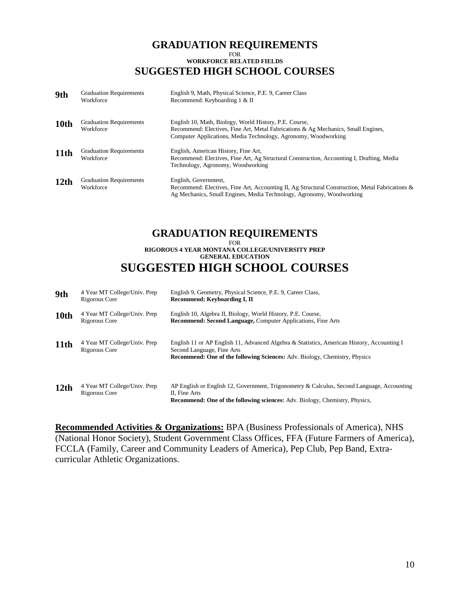#### **GRADUATION REQUIREMENTS**  FOR **WORKFORCE RELATED FIELDS SUGGESTED HIGH SCHOOL COURSES**

| 9th              | <b>Graduation Requirements</b><br>Workforce | English 9, Math, Physical Science, P.E. 9, Career Class<br>Recommend: Keyboarding 1 & II                                                                                                                      |
|------------------|---------------------------------------------|---------------------------------------------------------------------------------------------------------------------------------------------------------------------------------------------------------------|
| 10th             | <b>Graduation Requirements</b><br>Workforce | English 10, Math, Biology, World History, P.E. Course,<br>Recommend: Electives, Fine Art, Metal Fabrications & Ag Mechanics, Small Engines,<br>Computer Applications, Media Technology, Agronomy, Woodworking |
| 11th             | <b>Graduation Requirements</b><br>Workforce | English, American History, Fine Art,<br>Recommend: Electives, Fine Art, Ag Structural Construction, Accounting I, Drafting, Media<br>Technology, Agronomy, Woodworking                                        |
| 12 <sub>th</sub> | <b>Graduation Requirements</b><br>Workforce | English, Government,<br>Recommend: Electives, Fine Art, Accounting II, Ag Structural Construction, Metal Fabrications &<br>Ag Mechanics, Small Engines, Media Technology, Agronomy, Woodworking               |

# **GRADUATION REQUIREMENTS**

FOR

#### **RIGOROUS 4 YEAR MONTANA COLLEGE/UNIVERSITY PREP GENERAL EDUCATION SUGGESTED HIGH SCHOOL COURSES**

| 9th              | 4 Year MT College/Univ. Prep<br>Rigorous Core | English 9, Geometry, Physical Science, P.E. 9, Career Class,<br>Recommend: Keyboarding I, II                                                                                                                  |
|------------------|-----------------------------------------------|---------------------------------------------------------------------------------------------------------------------------------------------------------------------------------------------------------------|
| 10th             | 4 Year MT College/Univ. Prep<br>Rigorous Core | English 10, Algebra II, Biology, World History, P.E. Course,<br><b>Recommend: Second Language, Computer Applications, Fine Arts</b>                                                                           |
| 11th             | 4 Year MT College/Univ. Prep<br>Rigorous Core | English 11 or AP English 11, Advanced Algebra & Statistics, American History, Accounting I<br>Second Language, Fine Arts<br><b>Recommend: One of the following Sciences:</b> Adv. Biology, Chemistry, Physics |
| 12 <sub>th</sub> | 4 Year MT College/Univ. Prep<br>Rigorous Core | AP English or English 12, Government, Trigonometry & Calculus, Second Language, Accounting<br>II, Fine Arts<br><b>Recommend: One of the following sciences:</b> Adv. Biology, Chemistry, Physics,             |

**Recommended Activities & Organizations:** BPA (Business Professionals of America), NHS (National Honor Society), Student Government Class Offices, FFA (Future Farmers of America), FCCLA (Family, Career and Community Leaders of America), Pep Club, Pep Band, Extracurricular Athletic Organizations.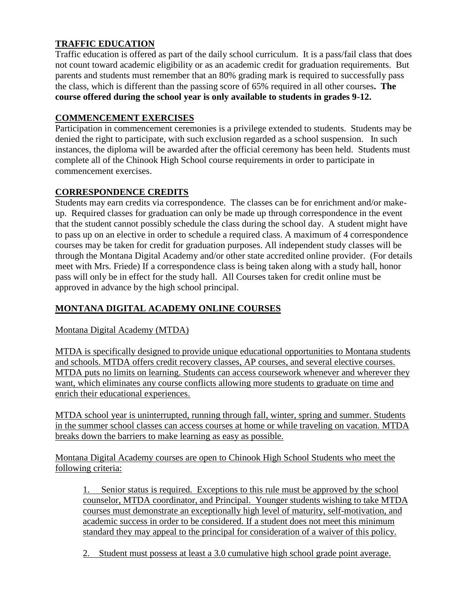# **TRAFFIC EDUCATION**

Traffic education is offered as part of the daily school curriculum. It is a pass/fail class that does not count toward academic eligibility or as an academic credit for graduation requirements. But parents and students must remember that an 80% grading mark is required to successfully pass the class, which is different than the passing score of 65% required in all other courses**. The course offered during the school year is only available to students in grades 9-12.** 

### **COMMENCEMENT EXERCISES**

Participation in commencement ceremonies is a privilege extended to students. Students may be denied the right to participate, with such exclusion regarded as a school suspension. In such instances, the diploma will be awarded after the official ceremony has been held. Students must complete all of the Chinook High School course requirements in order to participate in commencement exercises.

### **CORRESPONDENCE CREDITS**

Students may earn credits via correspondence. The classes can be for enrichment and/or makeup. Required classes for graduation can only be made up through correspondence in the event that the student cannot possibly schedule the class during the school day. A student might have to pass up on an elective in order to schedule a required class. A maximum of 4 correspondence courses may be taken for credit for graduation purposes. All independent study classes will be through the Montana Digital Academy and/or other state accredited online provider. (For details meet with Mrs. Friede) If a correspondence class is being taken along with a study hall, honor pass will only be in effect for the study hall. All Courses taken for credit online must be approved in advance by the high school principal.

# **MONTANA DIGITAL ACADEMY ONLINE COURSES**

Montana Digital Academy (MTDA)

MTDA is specifically designed to provide unique educational opportunities to Montana students and schools. MTDA offers credit recovery classes, AP courses, and several elective courses. MTDA puts no limits on learning. Students can access coursework whenever and wherever they want, which eliminates any course conflicts allowing more students to graduate on time and enrich their educational experiences.

MTDA school year is uninterrupted, running through fall, winter, spring and summer. Students in the summer school classes can access courses at home or while traveling on vacation. MTDA breaks down the barriers to make learning as easy as possible.

Montana Digital Academy courses are open to Chinook High School Students who meet the following criteria:

1. Senior status is required. Exceptions to this rule must be approved by the school counselor, MTDA coordinator, and Principal. Younger students wishing to take MTDA courses must demonstrate an exceptionally high level of maturity, self-motivation, and academic success in order to be considered. If a student does not meet this minimum standard they may appeal to the principal for consideration of a waiver of this policy.

2. Student must possess at least a 3.0 cumulative high school grade point average.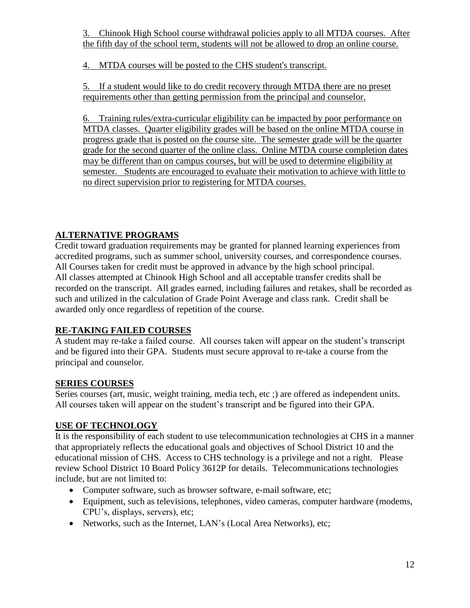3. Chinook High School course withdrawal policies apply to all MTDA courses. After the fifth day of the school term, students will not be allowed to drop an online course.

4. MTDA courses will be posted to the CHS student's transcript.

5. If a student would like to do credit recovery through MTDA there are no preset requirements other than getting permission from the principal and counselor.

6. Training rules/extra-curricular eligibility can be impacted by poor performance on MTDA classes. Quarter eligibility grades will be based on the online MTDA course in progress grade that is posted on the course site. The semester grade will be the quarter grade for the second quarter of the online class. Online MTDA course completion dates may be different than on campus courses, but will be used to determine eligibility at semester. Students are encouraged to evaluate their motivation to achieve with little to no direct supervision prior to registering for MTDA courses.

# **ALTERNATIVE PROGRAMS**

Credit toward graduation requirements may be granted for planned learning experiences from accredited programs, such as summer school, university courses, and correspondence courses. All Courses taken for credit must be approved in advance by the high school principal. All classes attempted at Chinook High School and all acceptable transfer credits shall be recorded on the transcript. All grades earned, including failures and retakes, shall be recorded as such and utilized in the calculation of Grade Point Average and class rank. Credit shall be awarded only once regardless of repetition of the course.

# **RE-TAKING FAILED COURSES**

A student may re-take a failed course. All courses taken will appear on the student's transcript and be figured into their GPA. Students must secure approval to re-take a course from the principal and counselor.

# **SERIES COURSES**

Series courses (art, music, weight training, media tech, etc ;) are offered as independent units. All courses taken will appear on the student's transcript and be figured into their GPA.

# **USE OF TECHNOLOGY**

It is the responsibility of each student to use telecommunication technologies at CHS in a manner that appropriately reflects the educational goals and objectives of School District 10 and the educational mission of CHS. Access to CHS technology is a privilege and not a right. Please review School District 10 Board Policy 3612P for details. Telecommunications technologies include, but are not limited to:

- Computer software, such as browser software, e-mail software, etc;
- Equipment, such as televisions, telephones, video cameras, computer hardware (modems, CPU's, displays, servers), etc;
- Networks, such as the Internet, LAN's (Local Area Networks), etc;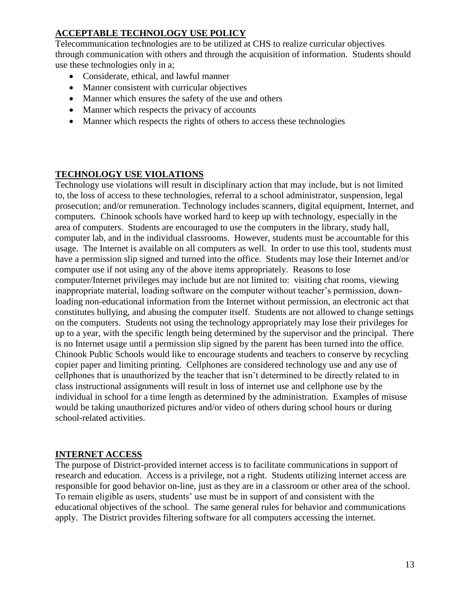# **ACCEPTABLE TECHNOLOGY USE POLICY**

Telecommunication technologies are to be utilized at CHS to realize curricular objectives through communication with others and through the acquisition of information. Students should use these technologies only in a;

- Considerate, ethical, and lawful manner
- Manner consistent with curricular objectives
- Manner which ensures the safety of the use and others
- Manner which respects the privacy of accounts
- Manner which respects the rights of others to access these technologies

## **TECHNOLOGY USE VIOLATIONS**

Technology use violations will result in disciplinary action that may include, but is not limited to, the loss of access to these technologies, referral to a school administrator, suspension, legal prosecution; and/or remuneration. Technology includes scanners, digital equipment, Internet, and computers. Chinook schools have worked hard to keep up with technology, especially in the area of computers. Students are encouraged to use the computers in the library, study hall, computer lab, and in the individual classrooms. However, students must be accountable for this usage. The Internet is available on all computers as well. In order to use this tool, students must have a permission slip signed and turned into the office. Students may lose their Internet and/or computer use if not using any of the above items appropriately. Reasons to lose computer/Internet privileges may include but are not limited to: visiting chat rooms, viewing inappropriate material, loading software on the computer without teacher's permission, downloading non-educational information from the Internet without permission, an electronic act that constitutes bullying, and abusing the computer itself. Students are not allowed to change settings on the computers. Students not using the technology appropriately may lose their privileges for up to a year, with the specific length being determined by the supervisor and the principal. There is no Internet usage until a permission slip signed by the parent has been turned into the office. Chinook Public Schools would like to encourage students and teachers to conserve by recycling copier paper and limiting printing. Cellphones are considered technology use and any use of cellphones that is unauthorized by the teacher that isn't determined to be directly related to in class instructional assignments will result in loss of internet use and cellphone use by the individual in school for a time length as determined by the administration. Examples of misuse would be taking unauthorized pictures and/or video of others during school hours or during school-related activities.

### **INTERNET ACCESS**

The purpose of District-provided internet access is to facilitate communications in support of research and education. Access is a privilege, not a right. Students utilizing internet access are responsible for good behavior on-line, just as they are in a classroom or other area of the school. To remain eligible as users, students' use must be in support of and consistent with the educational objectives of the school. The same general rules for behavior and communications apply. The District provides filtering software for all computers accessing the internet.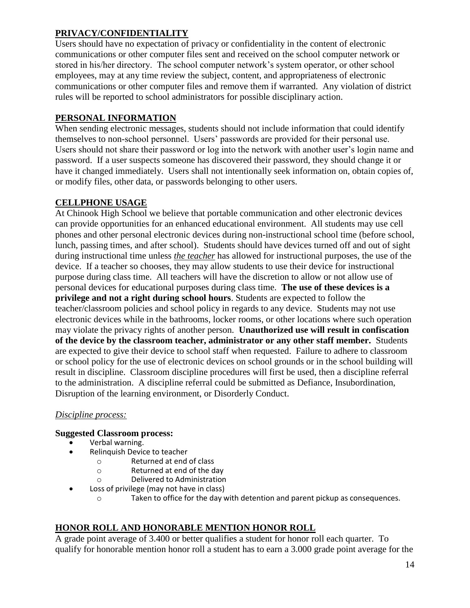# **PRIVACY/CONFIDENTIALITY**

Users should have no expectation of privacy or confidentiality in the content of electronic communications or other computer files sent and received on the school computer network or stored in his/her directory. The school computer network's system operator, or other school employees, may at any time review the subject, content, and appropriateness of electronic communications or other computer files and remove them if warranted. Any violation of district rules will be reported to school administrators for possible disciplinary action.

# **PERSONAL INFORMATION**

When sending electronic messages, students should not include information that could identify themselves to non-school personnel. Users' passwords are provided for their personal use. Users should not share their password or log into the network with another user's login name and password. If a user suspects someone has discovered their password, they should change it or have it changed immediately. Users shall not intentionally seek information on, obtain copies of, or modify files, other data, or passwords belonging to other users.

# **CELLPHONE USAGE**

At Chinook High School we believe that portable communication and other electronic devices can provide opportunities for an enhanced educational environment. All students may use cell phones and other personal electronic devices during non-instructional school time (before school, lunch, passing times, and after school). Students should have devices turned off and out of sight during instructional time unless *the teacher* has allowed for instructional purposes, the use of the device. If a teacher so chooses, they may allow students to use their device for instructional purpose during class time. All teachers will have the discretion to allow or not allow use of personal devices for educational purposes during class time. **The use of these devices is a privilege and not a right during school hours**. Students are expected to follow the teacher/classroom policies and school policy in regards to any device. Students may not use electronic devices while in the bathrooms, locker rooms, or other locations where such operation may violate the privacy rights of another person. **Unauthorized use will result in confiscation of the device by the classroom teacher, administrator or any other staff member.** Students are expected to give their device to school staff when requested. Failure to adhere to classroom or school policy for the use of electronic devices on school grounds or in the school building will result in discipline. Classroom discipline procedures will first be used, then a discipline referral to the administration. A discipline referral could be submitted as Defiance, Insubordination, Disruption of the learning environment, or Disorderly Conduct.

# *Discipline process:*

### **Suggested Classroom process:**

- Verbal warning.
	- Relinquish Device to teacher
		- o Returned at end of class
		- o Returned at end of the day
		- o Delivered to Administration
- Loss of privilege (may not have in class)
	- o Taken to office for the day with detention and parent pickup as consequences.

# **HONOR ROLL AND HONORABLE MENTION HONOR ROLL**

A grade point average of 3.400 or better qualifies a student for honor roll each quarter. To qualify for honorable mention honor roll a student has to earn a 3.000 grade point average for the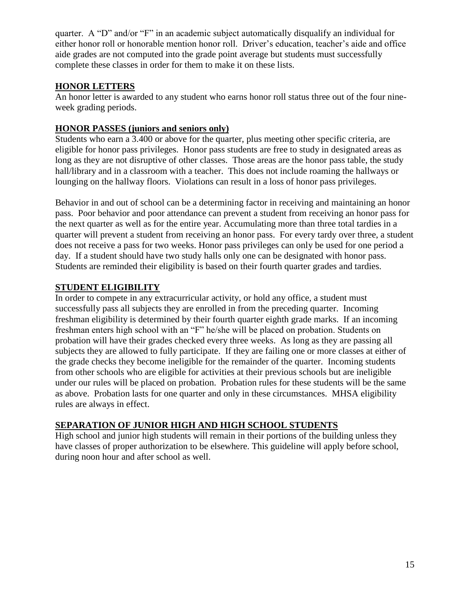quarter. A "D" and/or "F" in an academic subject automatically disqualify an individual for either honor roll or honorable mention honor roll. Driver's education, teacher's aide and office aide grades are not computed into the grade point average but students must successfully complete these classes in order for them to make it on these lists.

## **HONOR LETTERS**

An honor letter is awarded to any student who earns honor roll status three out of the four nineweek grading periods.

## **HONOR PASSES (juniors and seniors only)**

Students who earn a 3.400 or above for the quarter, plus meeting other specific criteria, are eligible for honor pass privileges. Honor pass students are free to study in designated areas as long as they are not disruptive of other classes. Those areas are the honor pass table, the study hall/library and in a classroom with a teacher. This does not include roaming the hallways or lounging on the hallway floors. Violations can result in a loss of honor pass privileges.

Behavior in and out of school can be a determining factor in receiving and maintaining an honor pass. Poor behavior and poor attendance can prevent a student from receiving an honor pass for the next quarter as well as for the entire year. Accumulating more than three total tardies in a quarter will prevent a student from receiving an honor pass. For every tardy over three, a student does not receive a pass for two weeks. Honor pass privileges can only be used for one period a day. If a student should have two study halls only one can be designated with honor pass. Students are reminded their eligibility is based on their fourth quarter grades and tardies.

## **STUDENT ELIGIBILITY**

In order to compete in any extracurricular activity, or hold any office, a student must successfully pass all subjects they are enrolled in from the preceding quarter. Incoming freshman eligibility is determined by their fourth quarter eighth grade marks. If an incoming freshman enters high school with an "F" he/she will be placed on probation. Students on probation will have their grades checked every three weeks. As long as they are passing all subjects they are allowed to fully participate. If they are failing one or more classes at either of the grade checks they become ineligible for the remainder of the quarter. Incoming students from other schools who are eligible for activities at their previous schools but are ineligible under our rules will be placed on probation. Probation rules for these students will be the same as above. Probation lasts for one quarter and only in these circumstances. MHSA eligibility rules are always in effect.

# **SEPARATION OF JUNIOR HIGH AND HIGH SCHOOL STUDENTS**

High school and junior high students will remain in their portions of the building unless they have classes of proper authorization to be elsewhere. This guideline will apply before school, during noon hour and after school as well.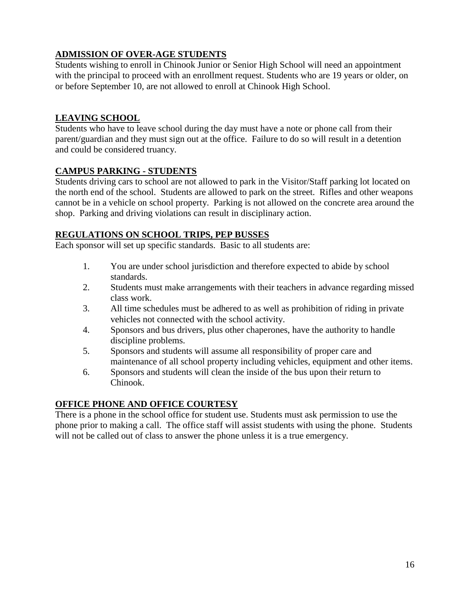# **ADMISSION OF OVER-AGE STUDENTS**

Students wishing to enroll in Chinook Junior or Senior High School will need an appointment with the principal to proceed with an enrollment request. Students who are 19 years or older, on or before September 10, are not allowed to enroll at Chinook High School.

# **LEAVING SCHOOL**

Students who have to leave school during the day must have a note or phone call from their parent/guardian and they must sign out at the office. Failure to do so will result in a detention and could be considered truancy.

## **CAMPUS PARKING - STUDENTS**

Students driving cars to school are not allowed to park in the Visitor/Staff parking lot located on the north end of the school. Students are allowed to park on the street. Rifles and other weapons cannot be in a vehicle on school property. Parking is not allowed on the concrete area around the shop. Parking and driving violations can result in disciplinary action.

### **REGULATIONS ON SCHOOL TRIPS, PEP BUSSES**

Each sponsor will set up specific standards. Basic to all students are:

- 1. You are under school jurisdiction and therefore expected to abide by school standards.
- 2. Students must make arrangements with their teachers in advance regarding missed class work.
- 3. All time schedules must be adhered to as well as prohibition of riding in private vehicles not connected with the school activity.
- 4. Sponsors and bus drivers, plus other chaperones, have the authority to handle discipline problems.
- 5. Sponsors and students will assume all responsibility of proper care and maintenance of all school property including vehicles, equipment and other items.
- 6. Sponsors and students will clean the inside of the bus upon their return to Chinook.

### **OFFICE PHONE AND OFFICE COURTESY**

There is a phone in the school office for student use. Students must ask permission to use the phone prior to making a call. The office staff will assist students with using the phone. Students will not be called out of class to answer the phone unless it is a true emergency.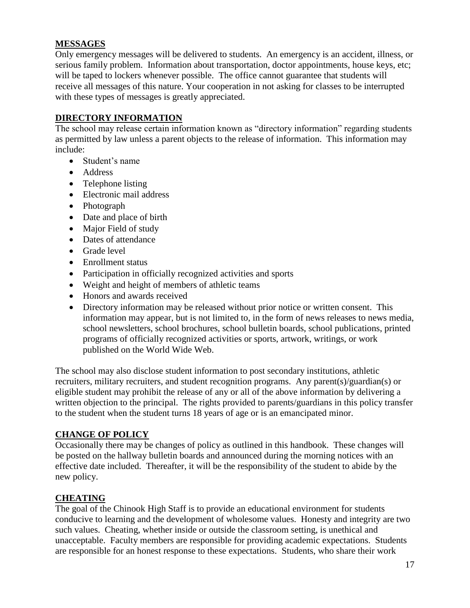### **MESSAGES**

Only emergency messages will be delivered to students. An emergency is an accident, illness, or serious family problem. Information about transportation, doctor appointments, house keys, etc; will be taped to lockers whenever possible. The office cannot guarantee that students will receive all messages of this nature. Your cooperation in not asking for classes to be interrupted with these types of messages is greatly appreciated.

### **DIRECTORY INFORMATION**

The school may release certain information known as "directory information" regarding students as permitted by law unless a parent objects to the release of information. This information may include:

- Student's name
- Address
- Telephone listing
- Electronic mail address
- Photograph
- Date and place of birth
- Major Field of study
- Dates of attendance
- Grade level
- Enrollment status
- Participation in officially recognized activities and sports
- Weight and height of members of athletic teams
- Honors and awards received
- Directory information may be released without prior notice or written consent. This information may appear, but is not limited to, in the form of news releases to news media, school newsletters, school brochures, school bulletin boards, school publications, printed programs of officially recognized activities or sports, artwork, writings, or work published on the World Wide Web.

The school may also disclose student information to post secondary institutions, athletic recruiters, military recruiters, and student recognition programs. Any parent(s)/guardian(s) or eligible student may prohibit the release of any or all of the above information by delivering a written objection to the principal. The rights provided to parents/guardians in this policy transfer to the student when the student turns 18 years of age or is an emancipated minor.

# **CHANGE OF POLICY**

Occasionally there may be changes of policy as outlined in this handbook. These changes will be posted on the hallway bulletin boards and announced during the morning notices with an effective date included. Thereafter, it will be the responsibility of the student to abide by the new policy.

# **CHEATING**

The goal of the Chinook High Staff is to provide an educational environment for students conducive to learning and the development of wholesome values. Honesty and integrity are two such values. Cheating, whether inside or outside the classroom setting, is unethical and unacceptable. Faculty members are responsible for providing academic expectations. Students are responsible for an honest response to these expectations. Students, who share their work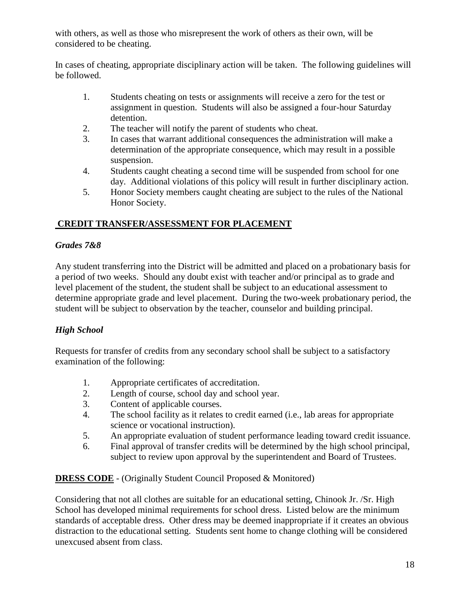with others, as well as those who misrepresent the work of others as their own, will be considered to be cheating.

In cases of cheating, appropriate disciplinary action will be taken. The following guidelines will be followed.

- 1. Students cheating on tests or assignments will receive a zero for the test or assignment in question. Students will also be assigned a four-hour Saturday detention.
- 2. The teacher will notify the parent of students who cheat.
- 3. In cases that warrant additional consequences the administration will make a determination of the appropriate consequence, which may result in a possible suspension.
- 4. Students caught cheating a second time will be suspended from school for one day. Additional violations of this policy will result in further disciplinary action.
- 5. Honor Society members caught cheating are subject to the rules of the National Honor Society.

# **CREDIT TRANSFER/ASSESSMENT FOR PLACEMENT**

# *Grades 7&8*

Any student transferring into the District will be admitted and placed on a probationary basis for a period of two weeks. Should any doubt exist with teacher and/or principal as to grade and level placement of the student, the student shall be subject to an educational assessment to determine appropriate grade and level placement. During the two-week probationary period, the student will be subject to observation by the teacher, counselor and building principal.

# *High School*

Requests for transfer of credits from any secondary school shall be subject to a satisfactory examination of the following:

- 1. Appropriate certificates of accreditation.
- 2. Length of course, school day and school year.
- 3. Content of applicable courses.
- 4. The school facility as it relates to credit earned (i.e., lab areas for appropriate science or vocational instruction).
- 5. An appropriate evaluation of student performance leading toward credit issuance.
- 6. Final approval of transfer credits will be determined by the high school principal, subject to review upon approval by the superintendent and Board of Trustees.

# **DRESS CODE** - (Originally Student Council Proposed & Monitored)

Considering that not all clothes are suitable for an educational setting, Chinook Jr. /Sr. High School has developed minimal requirements for school dress. Listed below are the minimum standards of acceptable dress. Other dress may be deemed inappropriate if it creates an obvious distraction to the educational setting. Students sent home to change clothing will be considered unexcused absent from class.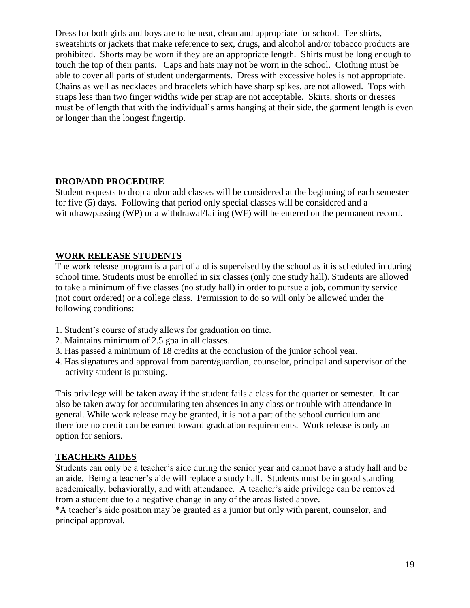Dress for both girls and boys are to be neat, clean and appropriate for school. Tee shirts, sweatshirts or jackets that make reference to sex, drugs, and alcohol and/or tobacco products are prohibited. Shorts may be worn if they are an appropriate length. Shirts must be long enough to touch the top of their pants. Caps and hats may not be worn in the school. Clothing must be able to cover all parts of student undergarments. Dress with excessive holes is not appropriate. Chains as well as necklaces and bracelets which have sharp spikes, are not allowed. Tops with straps less than two finger widths wide per strap are not acceptable. Skirts, shorts or dresses must be of length that with the individual's arms hanging at their side, the garment length is even or longer than the longest fingertip.

### **DROP/ADD PROCEDURE**

Student requests to drop and/or add classes will be considered at the beginning of each semester for five (5) days. Following that period only special classes will be considered and a withdraw/passing (WP) or a withdrawal/failing (WF) will be entered on the permanent record.

# **WORK RELEASE STUDENTS**

The work release program is a part of and is supervised by the school as it is scheduled in during school time. Students must be enrolled in six classes (only one study hall). Students are allowed to take a minimum of five classes (no study hall) in order to pursue a job, community service (not court ordered) or a college class. Permission to do so will only be allowed under the following conditions:

- 1. Student's course of study allows for graduation on time.
- 2. Maintains minimum of 2.5 gpa in all classes.
- 3. Has passed a minimum of 18 credits at the conclusion of the junior school year.
- 4. Has signatures and approval from parent/guardian, counselor, principal and supervisor of the activity student is pursuing.

This privilege will be taken away if the student fails a class for the quarter or semester. It can also be taken away for accumulating ten absences in any class or trouble with attendance in general. While work release may be granted, it is not a part of the school curriculum and therefore no credit can be earned toward graduation requirements. Work release is only an option for seniors.

### **TEACHERS AIDES**

Students can only be a teacher's aide during the senior year and cannot have a study hall and be an aide. Being a teacher's aide will replace a study hall. Students must be in good standing academically, behaviorally, and with attendance. A teacher's aide privilege can be removed from a student due to a negative change in any of the areas listed above.

\*A teacher's aide position may be granted as a junior but only with parent, counselor, and principal approval.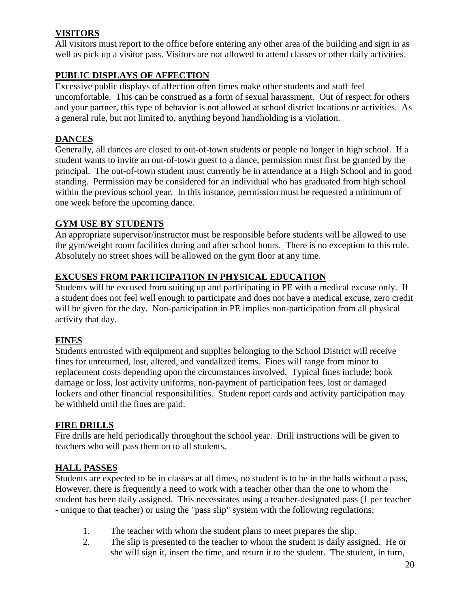# **VISITORS**

All visitors must report to the office before entering any other area of the building and sign in as well as pick up a visitor pass. Visitors are not allowed to attend classes or other daily activities.

# **PUBLIC DISPLAYS OF AFFECTION**

Excessive public displays of affection often times make other students and staff feel uncomfortable. This can be construed as a form of sexual harassment. Out of respect for others and your partner, this type of behavior is not allowed at school district locations or activities. As a general rule, but not limited to, anything beyond handholding is a violation.

# **DANCES**

Generally, all dances are closed to out-of-town students or people no longer in high school. If a student wants to invite an out-of-town guest to a dance, permission must first be granted by the principal. The out-of-town student must currently be in attendance at a High School and in good standing. Permission may be considered for an individual who has graduated from high school within the previous school year. In this instance, permission must be requested a minimum of one week before the upcoming dance.

## **GYM USE BY STUDENTS**

An appropriate supervisor/instructor must be responsible before students will be allowed to use the gym/weight room facilities during and after school hours. There is no exception to this rule. Absolutely no street shoes will be allowed on the gym floor at any time.

## **EXCUSES FROM PARTICIPATION IN PHYSICAL EDUCATION**

Students will be excused from suiting up and participating in PE with a medical excuse only. If a student does not feel well enough to participate and does not have a medical excuse, zero credit will be given for the day. Non-participation in PE implies non-participation from all physical activity that day.

### **FINES**

Students entrusted with equipment and supplies belonging to the School District will receive fines for unreturned, lost, altered, and vandalized items. Fines will range from minor to replacement costs depending upon the circumstances involved. Typical fines include; book damage or loss, lost activity uniforms, non-payment of participation fees, lost or damaged lockers and other financial responsibilities. Student report cards and activity participation may be withheld until the fines are paid.

### **FIRE DRILLS**

Fire drills are held periodically throughout the school year. Drill instructions will be given to teachers who will pass them on to all students.

### **HALL PASSES**

Students are expected to be in classes at all times, no student is to be in the halls without a pass, However, there is frequently a need to work with a teacher other than the one to whom the student has been daily assigned. This necessitates using a teacher-designated pass (1 per teacher - unique to that teacher) or using the "pass slip" system with the following regulations:

- 1. The teacher with whom the student plans to meet prepares the slip.
- 2. The slip is presented to the teacher to whom the student is daily assigned. He or she will sign it, insert the time, and return it to the student. The student, in turn,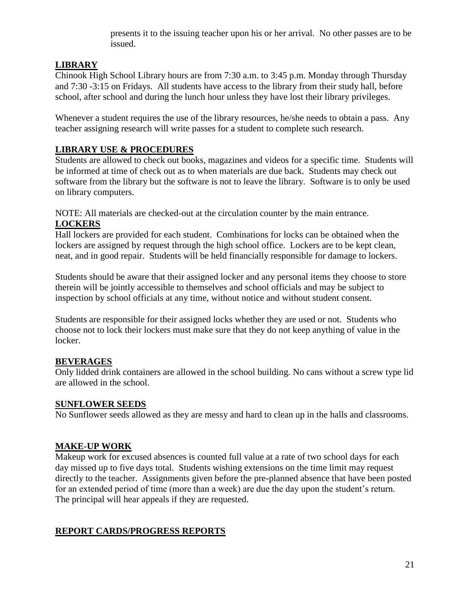presents it to the issuing teacher upon his or her arrival. No other passes are to be issued.

# **LIBRARY**

Chinook High School Library hours are from 7:30 a.m. to 3:45 p.m. Monday through Thursday and 7:30 -3:15 on Fridays. All students have access to the library from their study hall, before school, after school and during the lunch hour unless they have lost their library privileges.

Whenever a student requires the use of the library resources, he/she needs to obtain a pass. Any teacher assigning research will write passes for a student to complete such research.

### **LIBRARY USE & PROCEDURES**

Students are allowed to check out books, magazines and videos for a specific time. Students will be informed at time of check out as to when materials are due back. Students may check out software from the library but the software is not to leave the library. Software is to only be used on library computers.

NOTE: All materials are checked-out at the circulation counter by the main entrance. **LOCKERS**

Hall lockers are provided for each student. Combinations for locks can be obtained when the lockers are assigned by request through the high school office. Lockers are to be kept clean, neat, and in good repair. Students will be held financially responsible for damage to lockers.

Students should be aware that their assigned locker and any personal items they choose to store therein will be jointly accessible to themselves and school officials and may be subject to inspection by school officials at any time, without notice and without student consent.

Students are responsible for their assigned locks whether they are used or not. Students who choose not to lock their lockers must make sure that they do not keep anything of value in the locker.

# **BEVERAGES**

Only lidded drink containers are allowed in the school building. No cans without a screw type lid are allowed in the school.

### **SUNFLOWER SEEDS**

No Sunflower seeds allowed as they are messy and hard to clean up in the halls and classrooms.

# **MAKE-UP WORK**

Makeup work for excused absences is counted full value at a rate of two school days for each day missed up to five days total. Students wishing extensions on the time limit may request directly to the teacher. Assignments given before the pre-planned absence that have been posted for an extended period of time (more than a week) are due the day upon the student's return. The principal will hear appeals if they are requested.

# **REPORT CARDS/PROGRESS REPORTS**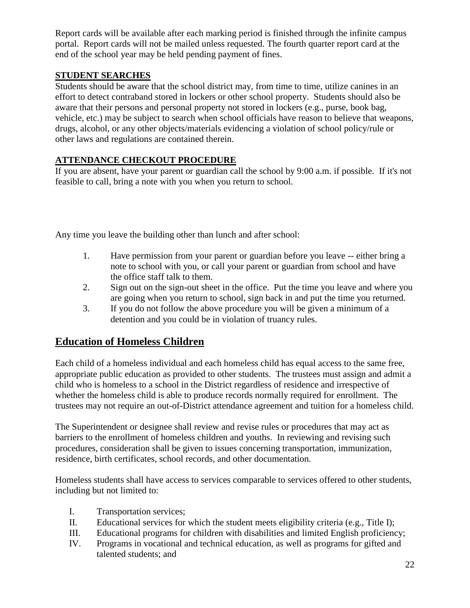Report cards will be available after each marking period is finished through the infinite campus portal. Report cards will not be mailed unless requested. The fourth quarter report card at the end of the school year may be held pending payment of fines.

# **STUDENT SEARCHES**

Students should be aware that the school district may, from time to time, utilize canines in an effort to detect contraband stored in lockers or other school property. Students should also be aware that their persons and personal property not stored in lockers (e.g., purse, book bag, vehicle, etc.) may be subject to search when school officials have reason to believe that weapons, drugs, alcohol, or any other objects/materials evidencing a violation of school policy/rule or other laws and regulations are contained therein.

# **ATTENDANCE CHECKOUT PROCEDURE**

If you are absent, have your parent or guardian call the school by 9:00 a.m. if possible. If it's not feasible to call, bring a note with you when you return to school.

Any time you leave the building other than lunch and after school:

- 1. Have permission from your parent or guardian before you leave -- either bring a note to school with you, or call your parent or guardian from school and have the office staff talk to them.
- 2. Sign out on the sign-out sheet in the office. Put the time you leave and where you are going when you return to school, sign back in and put the time you returned.
- 3. If you do not follow the above procedure you will be given a minimum of a detention and you could be in violation of truancy rules.

# **Education of Homeless Children**

Each child of a homeless individual and each homeless child has equal access to the same free, appropriate public education as provided to other students. The trustees must assign and admit a child who is homeless to a school in the District regardless of residence and irrespective of whether the homeless child is able to produce records normally required for enrollment. The trustees may not require an out-of-District attendance agreement and tuition for a homeless child.

The Superintendent or designee shall review and revise rules or procedures that may act as barriers to the enrollment of homeless children and youths. In reviewing and revising such procedures, consideration shall be given to issues concerning transportation, immunization, residence, birth certificates, school records, and other documentation.

Homeless students shall have access to services comparable to services offered to other students, including but not limited to:

- I. Transportation services;
- II. Educational services for which the student meets eligibility criteria (e.g., Title I);
- III. Educational programs for children with disabilities and limited English proficiency;
- IV. Programs in vocational and technical education, as well as programs for gifted and talented students; and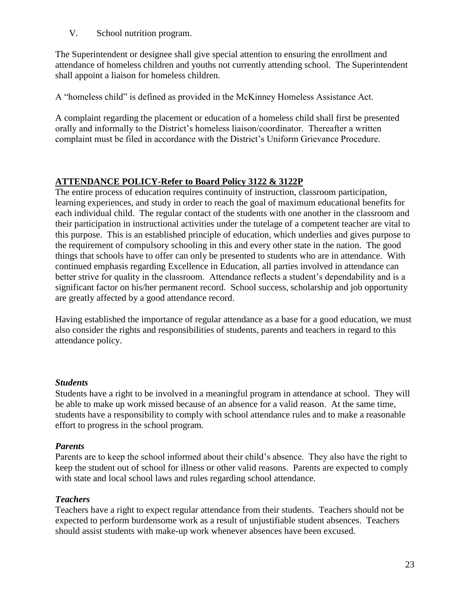V. School nutrition program.

The Superintendent or designee shall give special attention to ensuring the enrollment and attendance of homeless children and youths not currently attending school. The Superintendent shall appoint a liaison for homeless children.

A "homeless child" is defined as provided in the McKinney Homeless Assistance Act.

A complaint regarding the placement or education of a homeless child shall first be presented orally and informally to the District's homeless liaison/coordinator. Thereafter a written complaint must be filed in accordance with the District's Uniform Grievance Procedure.

# **ATTENDANCE POLICY-Refer to Board Policy 3122 & 3122P**

The entire process of education requires continuity of instruction, classroom participation, learning experiences, and study in order to reach the goal of maximum educational benefits for each individual child. The regular contact of the students with one another in the classroom and their participation in instructional activities under the tutelage of a competent teacher are vital to this purpose. This is an established principle of education, which underlies and gives purpose to the requirement of compulsory schooling in this and every other state in the nation. The good things that schools have to offer can only be presented to students who are in attendance. With continued emphasis regarding Excellence in Education, all parties involved in attendance can better strive for quality in the classroom. Attendance reflects a student's dependability and is a significant factor on his/her permanent record. School success, scholarship and job opportunity are greatly affected by a good attendance record.

Having established the importance of regular attendance as a base for a good education, we must also consider the rights and responsibilities of students, parents and teachers in regard to this attendance policy.

#### *Students*

Students have a right to be involved in a meaningful program in attendance at school. They will be able to make up work missed because of an absence for a valid reason. At the same time, students have a responsibility to comply with school attendance rules and to make a reasonable effort to progress in the school program.

#### *Parents*

Parents are to keep the school informed about their child's absence. They also have the right to keep the student out of school for illness or other valid reasons. Parents are expected to comply with state and local school laws and rules regarding school attendance.

#### *Teachers*

Teachers have a right to expect regular attendance from their students. Teachers should not be expected to perform burdensome work as a result of unjustifiable student absences. Teachers should assist students with make-up work whenever absences have been excused.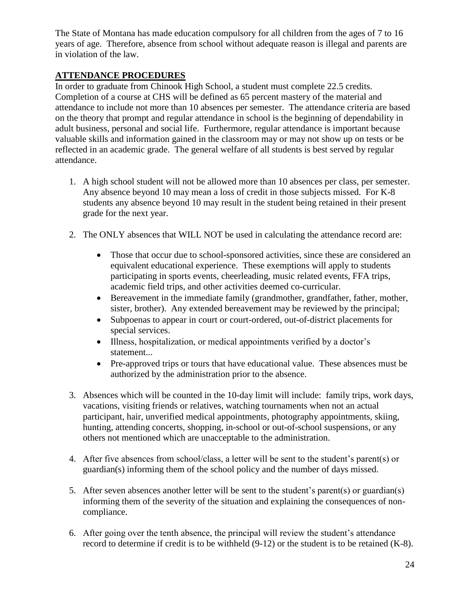The State of Montana has made education compulsory for all children from the ages of 7 to 16 years of age. Therefore, absence from school without adequate reason is illegal and parents are in violation of the law.

## **ATTENDANCE PROCEDURES**

In order to graduate from Chinook High School, a student must complete 22.5 credits. Completion of a course at CHS will be defined as 65 percent mastery of the material and attendance to include not more than 10 absences per semester. The attendance criteria are based on the theory that prompt and regular attendance in school is the beginning of dependability in adult business, personal and social life. Furthermore, regular attendance is important because valuable skills and information gained in the classroom may or may not show up on tests or be reflected in an academic grade. The general welfare of all students is best served by regular attendance.

- 1. A high school student will not be allowed more than 10 absences per class, per semester. Any absence beyond 10 may mean a loss of credit in those subjects missed. For K-8 students any absence beyond 10 may result in the student being retained in their present grade for the next year.
- 2. The ONLY absences that WILL NOT be used in calculating the attendance record are:
	- Those that occur due to school-sponsored activities, since these are considered an equivalent educational experience. These exemptions will apply to students participating in sports events, cheerleading, music related events, FFA trips, academic field trips, and other activities deemed co-curricular.
	- Bereavement in the immediate family (grandmother, grandfather, father, mother, sister, brother). Any extended bereavement may be reviewed by the principal;
	- Subpoenas to appear in court or court-ordered, out-of-district placements for special services.
	- Illness, hospitalization, or medical appointments verified by a doctor's statement...
	- Pre-approved trips or tours that have educational value. These absences must be authorized by the administration prior to the absence.
- 3. Absences which will be counted in the 10-day limit will include: family trips, work days, vacations, visiting friends or relatives, watching tournaments when not an actual participant, hair, unverified medical appointments, photography appointments, skiing, hunting, attending concerts, shopping, in-school or out-of-school suspensions, or any others not mentioned which are unacceptable to the administration.
- 4. After five absences from school/class, a letter will be sent to the student's parent(s) or guardian(s) informing them of the school policy and the number of days missed.
- 5. After seven absences another letter will be sent to the student's parent(s) or guardian(s) informing them of the severity of the situation and explaining the consequences of noncompliance.
- 6. After going over the tenth absence, the principal will review the student's attendance record to determine if credit is to be withheld (9-12) or the student is to be retained (K-8).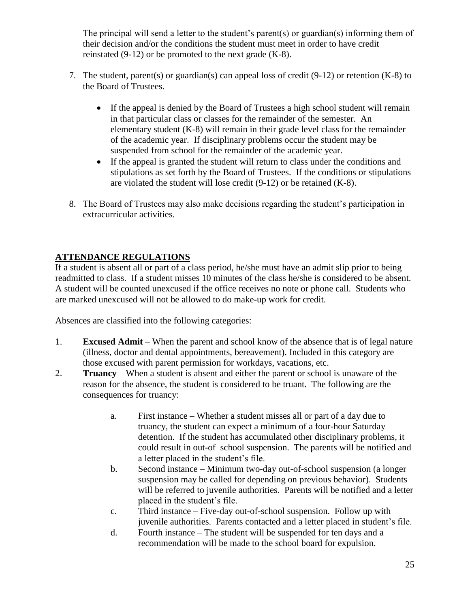The principal will send a letter to the student's parent(s) or guardian(s) informing them of their decision and/or the conditions the student must meet in order to have credit reinstated  $(9-12)$  or be promoted to the next grade  $(K-8)$ .

- 7. The student, parent(s) or guardian(s) can appeal loss of credit (9-12) or retention (K-8) to the Board of Trustees.
	- If the appeal is denied by the Board of Trustees a high school student will remain in that particular class or classes for the remainder of the semester. An elementary student (K-8) will remain in their grade level class for the remainder of the academic year. If disciplinary problems occur the student may be suspended from school for the remainder of the academic year.
	- If the appeal is granted the student will return to class under the conditions and stipulations as set forth by the Board of Trustees. If the conditions or stipulations are violated the student will lose credit (9-12) or be retained (K-8).
- 8. The Board of Trustees may also make decisions regarding the student's participation in extracurricular activities.

# **ATTENDANCE REGULATIONS**

If a student is absent all or part of a class period, he/she must have an admit slip prior to being readmitted to class. If a student misses 10 minutes of the class he/she is considered to be absent. A student will be counted unexcused if the office receives no note or phone call. Students who are marked unexcused will not be allowed to do make-up work for credit.

Absences are classified into the following categories:

- 1. **Excused Admit** When the parent and school know of the absence that is of legal nature (illness, doctor and dental appointments, bereavement). Included in this category are those excused with parent permission for workdays, vacations, etc.
- 2. **Truancy** When a student is absent and either the parent or school is unaware of the reason for the absence, the student is considered to be truant. The following are the consequences for truancy:
	- a. First instance Whether a student misses all or part of a day due to truancy, the student can expect a minimum of a four-hour Saturday detention. If the student has accumulated other disciplinary problems, it could result in out-of–school suspension. The parents will be notified and a letter placed in the student's file.
	- b. Second instance Minimum two-day out-of-school suspension (a longer suspension may be called for depending on previous behavior). Students will be referred to juvenile authorities. Parents will be notified and a letter placed in the student's file.
	- c. Third instance Five-day out-of-school suspension. Follow up with juvenile authorities. Parents contacted and a letter placed in student's file.
	- d. Fourth instance The student will be suspended for ten days and a recommendation will be made to the school board for expulsion.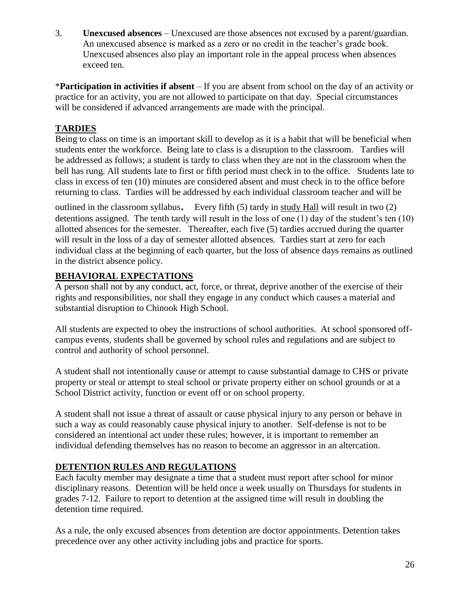3. **Unexcused absences** – Unexcused are those absences not excused by a parent/guardian. An unexcused absence is marked as a zero or no credit in the teacher's grade book. Unexcused absences also play an important role in the appeal process when absences exceed ten.

\***Participation in activities if absent** – If you are absent from school on the day of an activity or practice for an activity, you are not allowed to participate on that day. Special circumstances will be considered if advanced arrangements are made with the principal.

# **TARDIES**

Being to class on time is an important skill to develop as it is a habit that will be beneficial when students enter the workforce. Being late to class is a disruption to the classroom. Tardies will be addressed as follows; a student is tardy to class when they are not in the classroom when the bell has rung. All students late to first or fifth period must check in to the office. Students late to class in excess of ten (10) minutes are considered absent and must check in to the office before returning to class. Tardies will be addressed by each individual classroom teacher and will be

outlined in the classroom syllabus. Every fifth (5) tardy in study Hall will result in two (2) detentions assigned. The tenth tardy will result in the loss of one (1) day of the student's ten (10) allotted absences for the semester. Thereafter, each five (5) tardies accrued during the quarter will result in the loss of a day of semester allotted absences. Tardies start at zero for each individual class at the beginning of each quarter, but the loss of absence days remains as outlined in the district absence policy.

# **BEHAVIORAL EXPECTATIONS**

A person shall not by any conduct, act, force, or threat, deprive another of the exercise of their rights and responsibilities, nor shall they engage in any conduct which causes a material and substantial disruption to Chinook High School.

All students are expected to obey the instructions of school authorities. At school sponsored offcampus events, students shall be governed by school rules and regulations and are subject to control and authority of school personnel.

A student shall not intentionally cause or attempt to cause substantial damage to CHS or private property or steal or attempt to steal school or private property either on school grounds or at a School District activity, function or event off or on school property.

A student shall not issue a threat of assault or cause physical injury to any person or behave in such a way as could reasonably cause physical injury to another. Self-defense is not to be considered an intentional act under these rules; however, it is important to remember an individual defending themselves has no reason to become an aggressor in an altercation.

# **DETENTION RULES AND REGULATIONS**

Each faculty member may designate a time that a student must report after school for minor disciplinary reasons. Detention will be held once a week usually on Thursdays for students in grades 7-12. Failure to report to detention at the assigned time will result in doubling the detention time required.

As a rule, the only excused absences from detention are doctor appointments. Detention takes precedence over any other activity including jobs and practice for sports.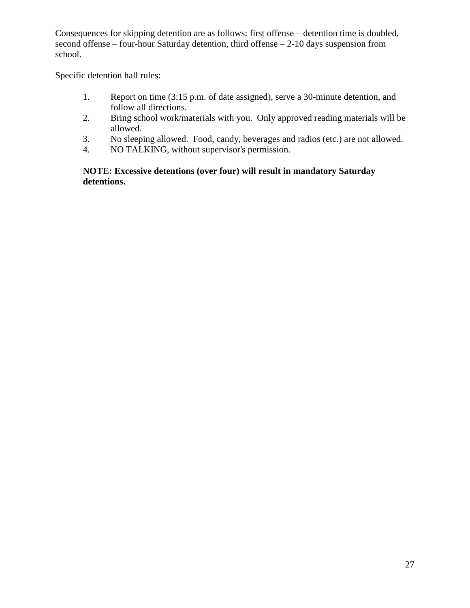Consequences for skipping detention are as follows: first offense – detention time is doubled, second offense – four-hour Saturday detention, third offense – 2-10 days suspension from school.

Specific detention hall rules:

- 1. Report on time (3:15 p.m. of date assigned), serve a 30-minute detention, and follow all directions.
- 2. Bring school work/materials with you. Only approved reading materials will be allowed.
- 3. No sleeping allowed. Food, candy, beverages and radios (etc.) are not allowed.
- 4. NO TALKING, without supervisor's permission.

### **NOTE: Excessive detentions (over four) will result in mandatory Saturday detentions.**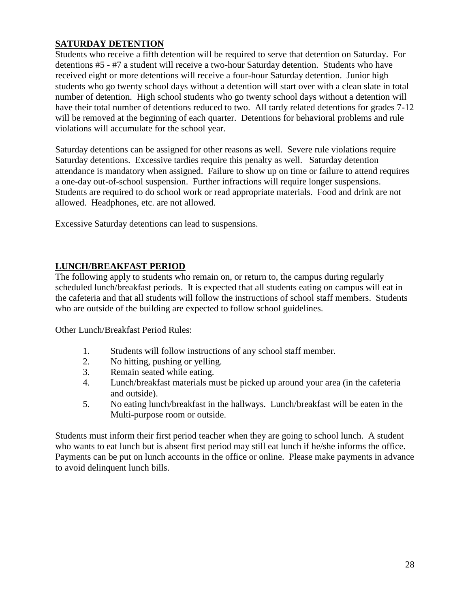# **SATURDAY DETENTION**

Students who receive a fifth detention will be required to serve that detention on Saturday. For detentions #5 - #7 a student will receive a two-hour Saturday detention. Students who have received eight or more detentions will receive a four-hour Saturday detention. Junior high students who go twenty school days without a detention will start over with a clean slate in total number of detention. High school students who go twenty school days without a detention will have their total number of detentions reduced to two. All tardy related detentions for grades 7-12 will be removed at the beginning of each quarter. Detentions for behavioral problems and rule violations will accumulate for the school year.

Saturday detentions can be assigned for other reasons as well. Severe rule violations require Saturday detentions. Excessive tardies require this penalty as well. Saturday detention attendance is mandatory when assigned. Failure to show up on time or failure to attend requires a one-day out-of-school suspension. Further infractions will require longer suspensions. Students are required to do school work or read appropriate materials. Food and drink are not allowed. Headphones, etc. are not allowed.

Excessive Saturday detentions can lead to suspensions.

### **LUNCH/BREAKFAST PERIOD**

The following apply to students who remain on, or return to, the campus during regularly scheduled lunch/breakfast periods. It is expected that all students eating on campus will eat in the cafeteria and that all students will follow the instructions of school staff members. Students who are outside of the building are expected to follow school guidelines.

Other Lunch/Breakfast Period Rules:

- 1. Students will follow instructions of any school staff member.
- 2. No hitting, pushing or yelling.
- 3. Remain seated while eating.
- 4. Lunch/breakfast materials must be picked up around your area (in the cafeteria and outside).
- 5. No eating lunch/breakfast in the hallways. Lunch/breakfast will be eaten in the Multi-purpose room or outside.

Students must inform their first period teacher when they are going to school lunch. A student who wants to eat lunch but is absent first period may still eat lunch if he/she informs the office. Payments can be put on lunch accounts in the office or online. Please make payments in advance to avoid delinquent lunch bills.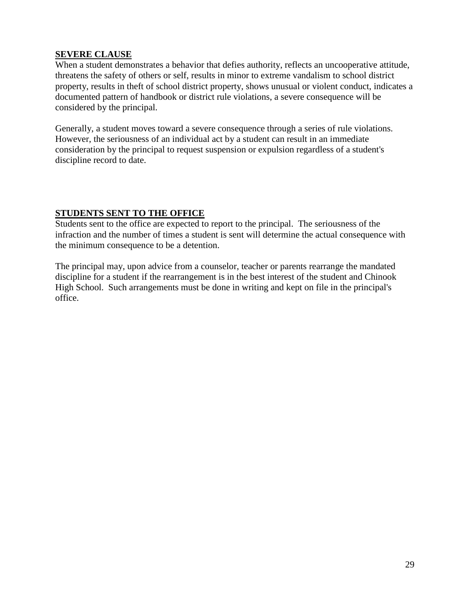### **SEVERE CLAUSE**

When a student demonstrates a behavior that defies authority, reflects an uncooperative attitude, threatens the safety of others or self, results in minor to extreme vandalism to school district property, results in theft of school district property, shows unusual or violent conduct, indicates a documented pattern of handbook or district rule violations, a severe consequence will be considered by the principal.

Generally, a student moves toward a severe consequence through a series of rule violations. However, the seriousness of an individual act by a student can result in an immediate consideration by the principal to request suspension or expulsion regardless of a student's discipline record to date.

## **STUDENTS SENT TO THE OFFICE**

Students sent to the office are expected to report to the principal. The seriousness of the infraction and the number of times a student is sent will determine the actual consequence with the minimum consequence to be a detention.

The principal may, upon advice from a counselor, teacher or parents rearrange the mandated discipline for a student if the rearrangement is in the best interest of the student and Chinook High School. Such arrangements must be done in writing and kept on file in the principal's office.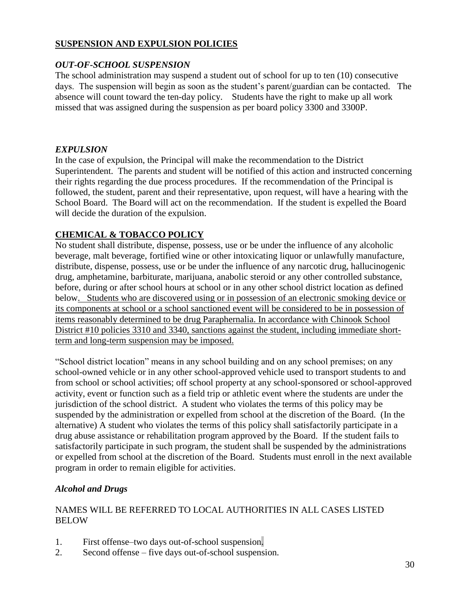### **SUSPENSION AND EXPULSION POLICIES**

### *OUT-OF-SCHOOL SUSPENSION*

The school administration may suspend a student out of school for up to ten (10) consecutive days. The suspension will begin as soon as the student's parent/guardian can be contacted. The absence will count toward the ten-day policy. Students have the right to make up all work missed that was assigned during the suspension as per board policy 3300 and 3300P.

# *EXPULSION*

In the case of expulsion, the Principal will make the recommendation to the District Superintendent. The parents and student will be notified of this action and instructed concerning their rights regarding the due process procedures. If the recommendation of the Principal is followed, the student, parent and their representative, upon request, will have a hearing with the School Board. The Board will act on the recommendation. If the student is expelled the Board will decide the duration of the expulsion.

# **CHEMICAL & TOBACCO POLICY**

No student shall distribute, dispense, possess, use or be under the influence of any alcoholic beverage, malt beverage, fortified wine or other intoxicating liquor or unlawfully manufacture, distribute, dispense, possess, use or be under the influence of any narcotic drug, hallucinogenic drug, amphetamine, barbiturate, marijuana, anabolic steroid or any other controlled substance, before, during or after school hours at school or in any other school district location as defined below. Students who are discovered using or in possession of an electronic smoking device or its components at school or a school sanctioned event will be considered to be in possession of items reasonably determined to be drug Paraphernalia. In accordance with Chinook School District #10 policies 3310 and 3340, sanctions against the student, including immediate shortterm and long-term suspension may be imposed.

"School district location" means in any school building and on any school premises; on any school-owned vehicle or in any other school-approved vehicle used to transport students to and from school or school activities; off school property at any school-sponsored or school-approved activity, event or function such as a field trip or athletic event where the students are under the jurisdiction of the school district. A student who violates the terms of this policy may be suspended by the administration or expelled from school at the discretion of the Board. (In the alternative) A student who violates the terms of this policy shall satisfactorily participate in a drug abuse assistance or rehabilitation program approved by the Board. If the student fails to satisfactorily participate in such program, the student shall be suspended by the administrations or expelled from school at the discretion of the Board. Students must enroll in the next available program in order to remain eligible for activities.

# *Alcohol and Drugs*

### NAMES WILL BE REFERRED TO LOCAL AUTHORITIES IN ALL CASES LISTED **BELOW**

- 1. First offense–two days out-of-school suspension.
- 2. Second offense five days out-of-school suspension.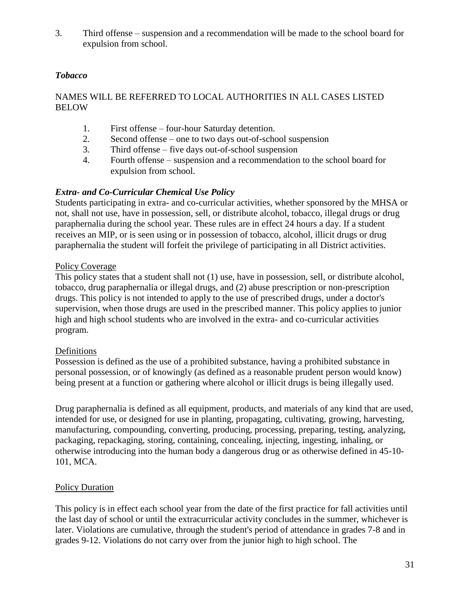3. Third offense – suspension and a recommendation will be made to the school board for expulsion from school.

# *Tobacco*

## NAMES WILL BE REFERRED TO LOCAL AUTHORITIES IN ALL CASES LISTED BELOW

- 1. First offense four-hour Saturday detention.
- 2. Second offense one to two days out-of-school suspension
- 3. Third offense five days out-of-school suspension
- 4. Fourth offense suspension and a recommendation to the school board for expulsion from school.

### *Extra- and Co-Curricular Chemical Use Policy*

Students participating in extra- and co-curricular activities, whether sponsored by the MHSA or not, shall not use, have in possession, sell, or distribute alcohol, tobacco, illegal drugs or drug paraphernalia during the school year. These rules are in effect 24 hours a day. If a student receives an MIP, or is seen using or in possession of tobacco, alcohol, illicit drugs or drug paraphernalia the student will forfeit the privilege of participating in all District activities.

### Policy Coverage

This policy states that a student shall not (1) use, have in possession, sell, or distribute alcohol, tobacco, drug paraphernalia or illegal drugs, and (2) abuse prescription or non-prescription drugs. This policy is not intended to apply to the use of prescribed drugs, under a doctor's supervision, when those drugs are used in the prescribed manner. This policy applies to junior high and high school students who are involved in the extra- and co-curricular activities program.

#### Definitions

Possession is defined as the use of a prohibited substance, having a prohibited substance in personal possession, or of knowingly (as defined as a reasonable prudent person would know) being present at a function or gathering where alcohol or illicit drugs is being illegally used.

Drug paraphernalia is defined as all equipment, products, and materials of any kind that are used, intended for use, or designed for use in planting, propagating, cultivating, growing, harvesting, manufacturing, compounding, converting, producing, processing, preparing, testing, analyzing, packaging, repackaging, storing, containing, concealing, injecting, ingesting, inhaling, or otherwise introducing into the human body a dangerous drug or as otherwise defined in 45-10- 101, MCA.

#### Policy Duration

This policy is in effect each school year from the date of the first practice for fall activities until the last day of school or until the extracurricular activity concludes in the summer, whichever is later. Violations are cumulative, through the student's period of attendance in grades 7-8 and in grades 9-12. Violations do not carry over from the junior high to high school. The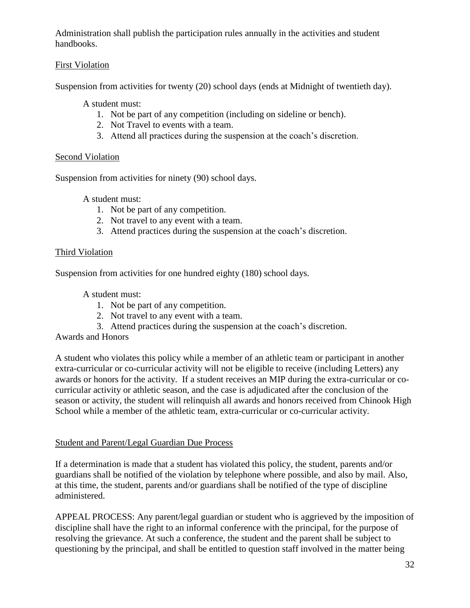Administration shall publish the participation rules annually in the activities and student handbooks.

# First Violation

Suspension from activities for twenty (20) school days (ends at Midnight of twentieth day).

A student must:

- 1. Not be part of any competition (including on sideline or bench).
- 2. Not Travel to events with a team.
- 3. Attend all practices during the suspension at the coach's discretion.

## Second Violation

Suspension from activities for ninety (90) school days.

A student must:

- 1. Not be part of any competition.
- 2. Not travel to any event with a team.
- 3. Attend practices during the suspension at the coach's discretion.

## Third Violation

Suspension from activities for one hundred eighty (180) school days.

A student must:

- 1. Not be part of any competition.
- 2. Not travel to any event with a team.
- 3. Attend practices during the suspension at the coach's discretion.

Awards and Honors

A student who violates this policy while a member of an athletic team or participant in another extra-curricular or co-curricular activity will not be eligible to receive (including Letters) any awards or honors for the activity. If a student receives an MIP during the extra-curricular or cocurricular activity or athletic season, and the case is adjudicated after the conclusion of the season or activity, the student will relinquish all awards and honors received from Chinook High School while a member of the athletic team, extra-curricular or co-curricular activity.

### Student and Parent/Legal Guardian Due Process

If a determination is made that a student has violated this policy, the student, parents and/or guardians shall be notified of the violation by telephone where possible, and also by mail. Also, at this time, the student, parents and/or guardians shall be notified of the type of discipline administered.

APPEAL PROCESS: Any parent/legal guardian or student who is aggrieved by the imposition of discipline shall have the right to an informal conference with the principal, for the purpose of resolving the grievance. At such a conference, the student and the parent shall be subject to questioning by the principal, and shall be entitled to question staff involved in the matter being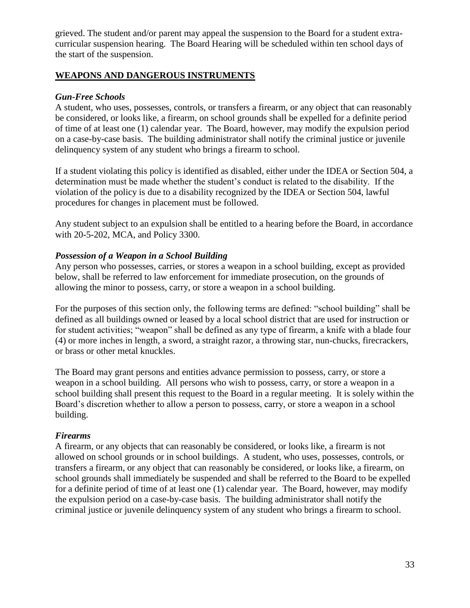grieved. The student and/or parent may appeal the suspension to the Board for a student extracurricular suspension hearing. The Board Hearing will be scheduled within ten school days of the start of the suspension.

#### **WEAPONS AND DANGEROUS INSTRUMENTS**

#### *Gun-Free Schools*

A student, who uses, possesses, controls, or transfers a firearm, or any object that can reasonably be considered, or looks like, a firearm, on school grounds shall be expelled for a definite period of time of at least one (1) calendar year. The Board, however, may modify the expulsion period on a case-by-case basis. The building administrator shall notify the criminal justice or juvenile delinquency system of any student who brings a firearm to school.

If a student violating this policy is identified as disabled, either under the IDEA or Section 504, a determination must be made whether the student's conduct is related to the disability. If the violation of the policy is due to a disability recognized by the IDEA or Section 504, lawful procedures for changes in placement must be followed.

Any student subject to an expulsion shall be entitled to a hearing before the Board, in accordance with 20-5-202, MCA, and Policy 3300.

### *Possession of a Weapon in a School Building*

Any person who possesses, carries, or stores a weapon in a school building, except as provided below, shall be referred to law enforcement for immediate prosecution, on the grounds of allowing the minor to possess, carry, or store a weapon in a school building.

For the purposes of this section only, the following terms are defined: "school building" shall be defined as all buildings owned or leased by a local school district that are used for instruction or for student activities; "weapon" shall be defined as any type of firearm, a knife with a blade four (4) or more inches in length, a sword, a straight razor, a throwing star, nun-chucks, firecrackers, or brass or other metal knuckles.

The Board may grant persons and entities advance permission to possess, carry, or store a weapon in a school building. All persons who wish to possess, carry, or store a weapon in a school building shall present this request to the Board in a regular meeting. It is solely within the Board's discretion whether to allow a person to possess, carry, or store a weapon in a school building.

#### *Firearms*

A firearm, or any objects that can reasonably be considered, or looks like, a firearm is not allowed on school grounds or in school buildings. A student, who uses, possesses, controls, or transfers a firearm, or any object that can reasonably be considered, or looks like, a firearm, on school grounds shall immediately be suspended and shall be referred to the Board to be expelled for a definite period of time of at least one (1) calendar year. The Board, however, may modify the expulsion period on a case-by-case basis. The building administrator shall notify the criminal justice or juvenile delinquency system of any student who brings a firearm to school.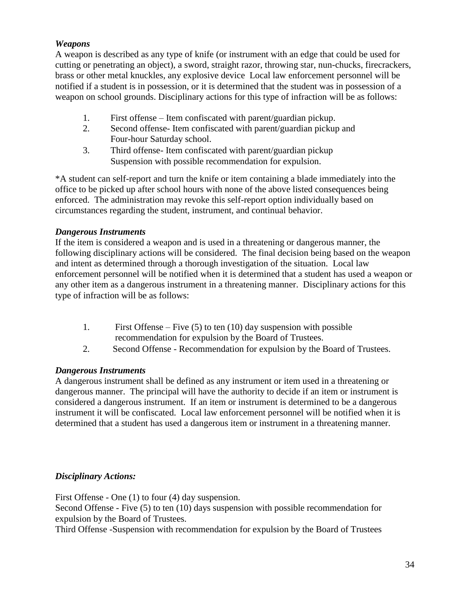## *Weapons*

A weapon is described as any type of knife (or instrument with an edge that could be used for cutting or penetrating an object), a sword, straight razor, throwing star, nun-chucks, firecrackers, brass or other metal knuckles, any explosive device Local law enforcement personnel will be notified if a student is in possession, or it is determined that the student was in possession of a weapon on school grounds. Disciplinary actions for this type of infraction will be as follows:

- 1. First offense Item confiscated with parent/guardian pickup.
- 2. Second offense- Item confiscated with parent/guardian pickup and Four-hour Saturday school.
- 3. Third offense- Item confiscated with parent/guardian pickup Suspension with possible recommendation for expulsion.

\*A student can self-report and turn the knife or item containing a blade immediately into the office to be picked up after school hours with none of the above listed consequences being enforced. The administration may revoke this self-report option individually based on circumstances regarding the student, instrument, and continual behavior.

### *Dangerous Instruments*

If the item is considered a weapon and is used in a threatening or dangerous manner, the following disciplinary actions will be considered. The final decision being based on the weapon and intent as determined through a thorough investigation of the situation. Local law enforcement personnel will be notified when it is determined that a student has used a weapon or any other item as a dangerous instrument in a threatening manner. Disciplinary actions for this type of infraction will be as follows:

- 1. First Offense Five (5) to ten (10) day suspension with possible recommendation for expulsion by the Board of Trustees.
- 2. Second Offense Recommendation for expulsion by the Board of Trustees.

### *Dangerous Instruments*

A dangerous instrument shall be defined as any instrument or item used in a threatening or dangerous manner. The principal will have the authority to decide if an item or instrument is considered a dangerous instrument. If an item or instrument is determined to be a dangerous instrument it will be confiscated. Local law enforcement personnel will be notified when it is determined that a student has used a dangerous item or instrument in a threatening manner.

### *Disciplinary Actions:*

First Offense - One (1) to four (4) day suspension.

Second Offense - Five (5) to ten (10) days suspension with possible recommendation for expulsion by the Board of Trustees.

Third Offense -Suspension with recommendation for expulsion by the Board of Trustees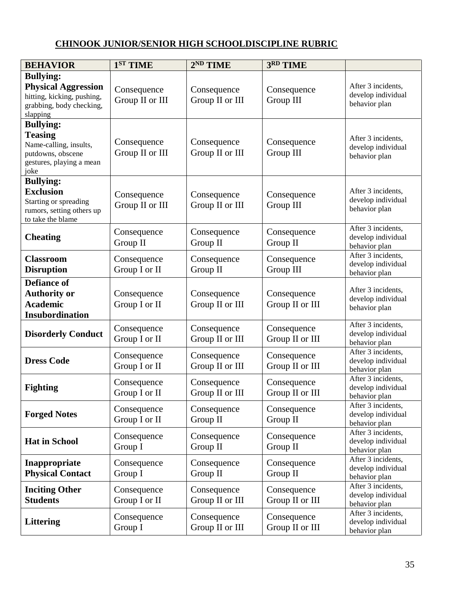# **CHINOOK JUNIOR/SENIOR HIGH SCHOOLDISCIPLINE RUBRIC**

| <b>BEHAVIOR</b>                                                                                                       | 1 <sup>ST</sup> TIME           | 2 <sup>ND</sup> TIME           | 3RD TIME                       |                                                           |
|-----------------------------------------------------------------------------------------------------------------------|--------------------------------|--------------------------------|--------------------------------|-----------------------------------------------------------|
| <b>Bullying:</b><br><b>Physical Aggression</b><br>hitting, kicking, pushing,<br>grabbing, body checking,<br>slapping  | Consequence<br>Group II or III | Consequence<br>Group II or III | Consequence<br>Group III       | After 3 incidents,<br>develop individual<br>behavior plan |
| <b>Bullying:</b><br><b>Teasing</b><br>Name-calling, insults,<br>putdowns, obscene<br>gestures, playing a mean<br>joke | Consequence<br>Group II or III | Consequence<br>Group II or III | Consequence<br>Group III       | After 3 incidents,<br>develop individual<br>behavior plan |
| <b>Bullying:</b><br><b>Exclusion</b><br>Starting or spreading<br>rumors, setting others up<br>to take the blame       | Consequence<br>Group II or III | Consequence<br>Group II or III | Consequence<br>Group III       | After 3 incidents,<br>develop individual<br>behavior plan |
| <b>Cheating</b>                                                                                                       | Consequence<br>Group II        | Consequence<br>Group II        | Consequence<br>Group II        | After 3 incidents,<br>develop individual<br>behavior plan |
| <b>Classroom</b><br><b>Disruption</b>                                                                                 | Consequence<br>Group I or II   | Consequence<br>Group II        | Consequence<br>Group III       | After 3 incidents,<br>develop individual<br>behavior plan |
| <b>Defiance of</b><br><b>Authority or</b><br><b>Academic</b><br>Insubordination                                       | Consequence<br>Group I or II   | Consequence<br>Group II or III | Consequence<br>Group II or III | After 3 incidents,<br>develop individual<br>behavior plan |
| <b>Disorderly Conduct</b>                                                                                             | Consequence<br>Group I or II   | Consequence<br>Group II or III | Consequence<br>Group II or III | After 3 incidents,<br>develop individual<br>behavior plan |
| <b>Dress Code</b>                                                                                                     | Consequence<br>Group I or II   | Consequence<br>Group II or III | Consequence<br>Group II or III | After 3 incidents,<br>develop individual<br>behavior plan |
| <b>Fighting</b>                                                                                                       | Consequence<br>Group I or II   | Consequence<br>Group II or III | Consequence<br>Group II or III | After 3 incidents,<br>develop individual<br>behavior plan |
| <b>Forged Notes</b>                                                                                                   | Consequence<br>Group I or II   | Consequence<br>Group II        | Consequence<br>Group II        | After 3 incidents,<br>develop individual<br>behavior plan |
| <b>Hat in School</b>                                                                                                  | Consequence<br>Group I         | Consequence<br>Group II        | Consequence<br>Group II        | After 3 incidents,<br>develop individual<br>behavior plan |
| Inappropriate<br><b>Physical Contact</b>                                                                              | Consequence<br>Group I         | Consequence<br>Group II        | Consequence<br>Group II        | After 3 incidents,<br>develop individual<br>behavior plan |
| <b>Inciting Other</b><br><b>Students</b>                                                                              | Consequence<br>Group I or II   | Consequence<br>Group II or III | Consequence<br>Group II or III | After 3 incidents,<br>develop individual<br>behavior plan |
| <b>Littering</b>                                                                                                      | Consequence<br>Group I         | Consequence<br>Group II or III | Consequence<br>Group II or III | After 3 incidents,<br>develop individual<br>behavior plan |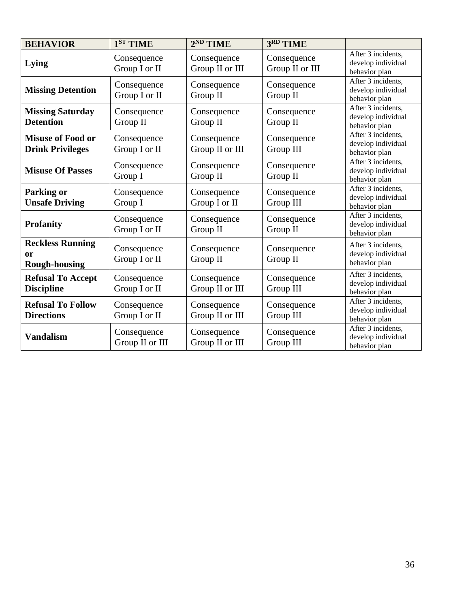| <b>BEHAVIOR</b>                                       | 1 <sup>ST</sup> TIME           | $2^{ND}$ TIME                  | 3RD TIME                       |                                                           |
|-------------------------------------------------------|--------------------------------|--------------------------------|--------------------------------|-----------------------------------------------------------|
| Lying                                                 | Consequence<br>Group I or II   | Consequence<br>Group II or III | Consequence<br>Group II or III | After 3 incidents,<br>develop individual<br>behavior plan |
| <b>Missing Detention</b>                              | Consequence<br>Group I or II   | Consequence<br>Group II        | Consequence<br>Group II        | After 3 incidents,<br>develop individual<br>behavior plan |
| <b>Missing Saturday</b><br><b>Detention</b>           | Consequence<br>Group II        | Consequence<br>Group II        | Consequence<br>Group II        | After 3 incidents,<br>develop individual<br>behavior plan |
| <b>Misuse of Food or</b><br><b>Drink Privileges</b>   | Consequence<br>Group I or II   | Consequence<br>Group II or III | Consequence<br>Group III       | After 3 incidents,<br>develop individual<br>behavior plan |
| <b>Misuse Of Passes</b>                               | Consequence<br>Group I         | Consequence<br>Group II        | Consequence<br>Group II        | After 3 incidents,<br>develop individual<br>behavior plan |
| <b>Parking or</b><br><b>Unsafe Driving</b>            | Consequence<br>Group I         | Consequence<br>Group I or II   | Consequence<br>Group III       | After 3 incidents,<br>develop individual<br>behavior plan |
| <b>Profanity</b>                                      | Consequence<br>Group I or II   | Consequence<br>Group II        | Consequence<br>Group II        | After 3 incidents,<br>develop individual<br>behavior plan |
| <b>Reckless Running</b><br>or<br><b>Rough-housing</b> | Consequence<br>Group I or II   | Consequence<br>Group II        | Consequence<br>Group II        | After 3 incidents,<br>develop individual<br>behavior plan |
| <b>Refusal To Accept</b><br><b>Discipline</b>         | Consequence<br>Group I or II   | Consequence<br>Group II or III | Consequence<br>Group III       | After 3 incidents,<br>develop individual<br>behavior plan |
| <b>Refusal To Follow</b><br><b>Directions</b>         | Consequence<br>Group I or II   | Consequence<br>Group II or III | Consequence<br>Group III       | After 3 incidents,<br>develop individual<br>behavior plan |
| <b>Vandalism</b>                                      | Consequence<br>Group II or III | Consequence<br>Group II or III | Consequence<br>Group III       | After 3 incidents,<br>develop individual<br>behavior plan |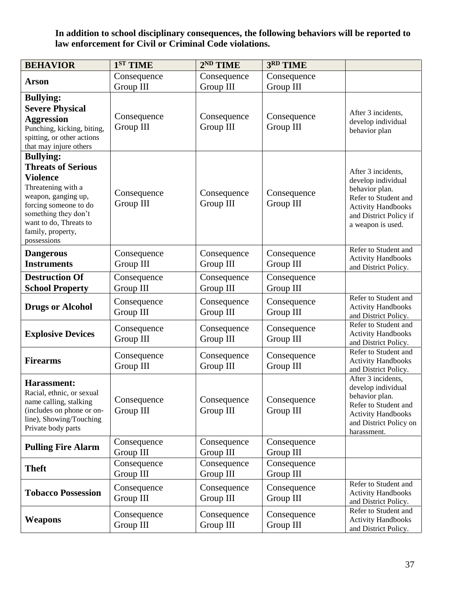**In addition to school disciplinary consequences, the following behaviors will be reported to law enforcement for Civil or Criminal Code violations.**

| <b>BEHAVIOR</b>                                                                                                                                                                                                              | 1 <sup>ST</sup> TIME     | 2 <sup>ND</sup> TIME     | 3RD TIME                 |                                                                                                                                                                |
|------------------------------------------------------------------------------------------------------------------------------------------------------------------------------------------------------------------------------|--------------------------|--------------------------|--------------------------|----------------------------------------------------------------------------------------------------------------------------------------------------------------|
| Arson                                                                                                                                                                                                                        | Consequence<br>Group III | Consequence<br>Group III | Consequence<br>Group III |                                                                                                                                                                |
| <b>Bullying:</b><br><b>Severe Physical</b><br><b>Aggression</b><br>Punching, kicking, biting,<br>spitting, or other actions<br>that may injure others                                                                        | Consequence<br>Group III | Consequence<br>Group III | Consequence<br>Group III | After 3 incidents,<br>develop individual<br>behavior plan                                                                                                      |
| <b>Bullying:</b><br><b>Threats of Serious</b><br><b>Violence</b><br>Threatening with a<br>weapon, ganging up,<br>forcing someone to do<br>something they don't<br>want to do, Threats to<br>family, property,<br>possessions | Consequence<br>Group III | Consequence<br>Group III | Consequence<br>Group III | After 3 incidents,<br>develop individual<br>behavior plan.<br>Refer to Student and<br><b>Activity Handbooks</b><br>and District Policy if<br>a weapon is used. |
| <b>Dangerous</b><br><b>Instruments</b>                                                                                                                                                                                       | Consequence<br>Group III | Consequence<br>Group III | Consequence<br>Group III | Refer to Student and<br><b>Activity Handbooks</b><br>and District Policy.                                                                                      |
| <b>Destruction Of</b><br><b>School Property</b>                                                                                                                                                                              | Consequence<br>Group III | Consequence<br>Group III | Consequence<br>Group III |                                                                                                                                                                |
| <b>Drugs or Alcohol</b>                                                                                                                                                                                                      | Consequence<br>Group III | Consequence<br>Group III | Consequence<br>Group III | Refer to Student and<br><b>Activity Handbooks</b><br>and District Policy.                                                                                      |
| <b>Explosive Devices</b>                                                                                                                                                                                                     | Consequence<br>Group III | Consequence<br>Group III | Consequence<br>Group III | Refer to Student and<br><b>Activity Handbooks</b><br>and District Policy.                                                                                      |
| <b>Firearms</b>                                                                                                                                                                                                              | Consequence<br>Group III | Consequence<br>Group III | Consequence<br>Group III | Refer to Student and<br><b>Activity Handbooks</b><br>and District Policy.                                                                                      |
| <b>Harassment:</b><br>Racial, ethnic, or sexual<br>name calling, stalking<br>(includes on phone or on-<br>line), Showing/Touching<br>Private body parts                                                                      | Consequence<br>Group III | Consequence<br>Group III | Consequence<br>Group III | After 3 incidents,<br>develop individual<br>behavior plan.<br>Refer to Student and<br><b>Activity Handbooks</b><br>and District Policy on<br>harassment.       |
| <b>Pulling Fire Alarm</b>                                                                                                                                                                                                    | Consequence<br>Group III | Consequence<br>Group III | Consequence<br>Group III |                                                                                                                                                                |
| <b>Theft</b>                                                                                                                                                                                                                 | Consequence<br>Group III | Consequence<br>Group III | Consequence<br>Group III |                                                                                                                                                                |
| <b>Tobacco Possession</b>                                                                                                                                                                                                    | Consequence<br>Group III | Consequence<br>Group III | Consequence<br>Group III | Refer to Student and<br><b>Activity Handbooks</b><br>and District Policy.                                                                                      |
| Weapons                                                                                                                                                                                                                      | Consequence<br>Group III | Consequence<br>Group III | Consequence<br>Group III | Refer to Student and<br><b>Activity Handbooks</b><br>and District Policy.                                                                                      |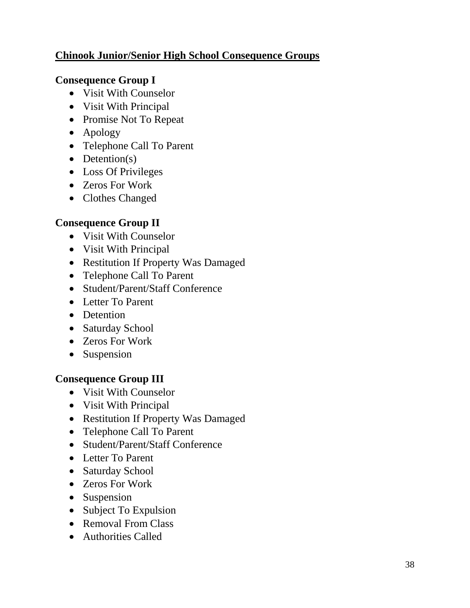# **Chinook Junior/Senior High School Consequence Groups**

# **Consequence Group I**

- Visit With Counselor
- Visit With Principal
- Promise Not To Repeat
- Apology
- Telephone Call To Parent
- $\bullet$  Detention(s)
- Loss Of Privileges
- Zeros For Work
- Clothes Changed

# **Consequence Group II**

- Visit With Counselor
- Visit With Principal
- Restitution If Property Was Damaged
- Telephone Call To Parent
- Student/Parent/Staff Conference
- Letter To Parent
- Detention
- Saturday School
- Zeros For Work
- Suspension

# **Consequence Group III**

- Visit With Counselor
- Visit With Principal
- Restitution If Property Was Damaged
- Telephone Call To Parent
- Student/Parent/Staff Conference
- Letter To Parent
- Saturday School
- Zeros For Work
- Suspension
- Subject To Expulsion
- Removal From Class
- Authorities Called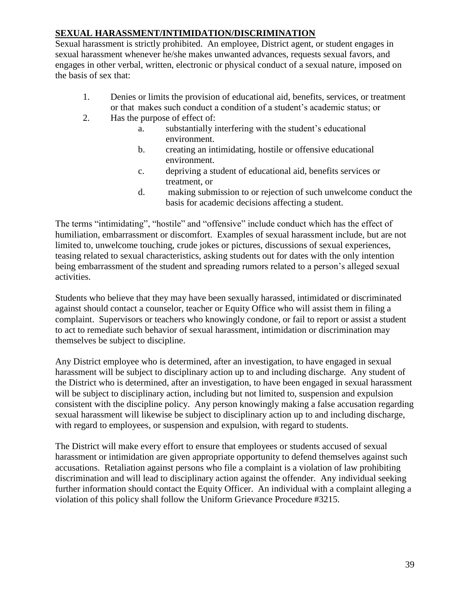# **SEXUAL HARASSMENT/INTIMIDATION/DISCRIMINATION**

Sexual harassment is strictly prohibited. An employee, District agent, or student engages in sexual harassment whenever he/she makes unwanted advances, requests sexual favors, and engages in other verbal, written, electronic or physical conduct of a sexual nature, imposed on the basis of sex that:

- 1. Denies or limits the provision of educational aid, benefits, services, or treatment or that makes such conduct a condition of a student's academic status; or
- 2. Has the purpose of effect of:
	- a. substantially interfering with the student's educational environment.
	- b. creating an intimidating, hostile or offensive educational environment.
	- c. depriving a student of educational aid, benefits services or treatment, or
	- d. making submission to or rejection of such unwelcome conduct the basis for academic decisions affecting a student.

The terms "intimidating", "hostile" and "offensive" include conduct which has the effect of humiliation, embarrassment or discomfort. Examples of sexual harassment include, but are not limited to, unwelcome touching, crude jokes or pictures, discussions of sexual experiences, teasing related to sexual characteristics, asking students out for dates with the only intention being embarrassment of the student and spreading rumors related to a person's alleged sexual activities.

Students who believe that they may have been sexually harassed, intimidated or discriminated against should contact a counselor, teacher or Equity Office who will assist them in filing a complaint. Supervisors or teachers who knowingly condone, or fail to report or assist a student to act to remediate such behavior of sexual harassment, intimidation or discrimination may themselves be subject to discipline.

Any District employee who is determined, after an investigation, to have engaged in sexual harassment will be subject to disciplinary action up to and including discharge. Any student of the District who is determined, after an investigation, to have been engaged in sexual harassment will be subject to disciplinary action, including but not limited to, suspension and expulsion consistent with the discipline policy. Any person knowingly making a false accusation regarding sexual harassment will likewise be subject to disciplinary action up to and including discharge, with regard to employees, or suspension and expulsion, with regard to students.

The District will make every effort to ensure that employees or students accused of sexual harassment or intimidation are given appropriate opportunity to defend themselves against such accusations. Retaliation against persons who file a complaint is a violation of law prohibiting discrimination and will lead to disciplinary action against the offender. Any individual seeking further information should contact the Equity Officer. An individual with a complaint alleging a violation of this policy shall follow the Uniform Grievance Procedure #3215.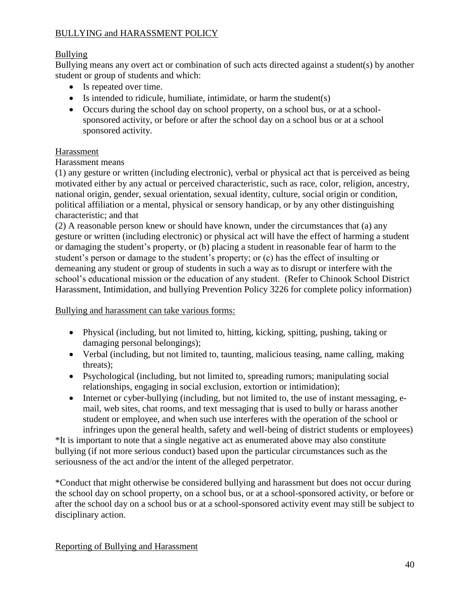# BULLYING and HARASSMENT POLICY

# Bullying

Bullying means any overt act or combination of such acts directed against a student(s) by another student or group of students and which:

- Is repeated over time.
- Is intended to ridicule, humiliate, intimidate, or harm the student(s)
- Occurs during the school day on school property, on a school bus, or at a schoolsponsored activity, or before or after the school day on a school bus or at a school sponsored activity.

# Harassment

# Harassment means

(1) any gesture or written (including electronic), verbal or physical act that is perceived as being motivated either by any actual or perceived characteristic, such as race, color, religion, ancestry, national origin, gender, sexual orientation, sexual identity, culture, social origin or condition, political affiliation or a mental, physical or sensory handicap, or by any other distinguishing characteristic; and that

(2) A reasonable person knew or should have known, under the circumstances that (a) any gesture or written (including electronic) or physical act will have the effect of harming a student or damaging the student's property, or (b) placing a student in reasonable fear of harm to the student's person or damage to the student's property; or (c) has the effect of insulting or demeaning any student or group of students in such a way as to disrupt or interfere with the school's educational mission or the education of any student. (Refer to Chinook School District Harassment, Intimidation, and bullying Prevention Policy 3226 for complete policy information)

Bullying and harassment can take various forms:

- Physical (including, but not limited to, hitting, kicking, spitting, pushing, taking or damaging personal belongings);
- Verbal (including, but not limited to, taunting, malicious teasing, name calling, making threats);
- Psychological (including, but not limited to, spreading rumors; manipulating social relationships, engaging in social exclusion, extortion or intimidation);
- Internet or cyber-bullying (including, but not limited to, the use of instant messaging, email, web sites, chat rooms, and text messaging that is used to bully or harass another student or employee, and when such use interferes with the operation of the school or infringes upon the general health, safety and well-being of district students or employees)

\*It is important to note that a single negative act as enumerated above may also constitute bullying (if not more serious conduct) based upon the particular circumstances such as the seriousness of the act and/or the intent of the alleged perpetrator.

\*Conduct that might otherwise be considered bullying and harassment but does not occur during the school day on school property, on a school bus, or at a school-sponsored activity, or before or after the school day on a school bus or at a school-sponsored activity event may still be subject to disciplinary action.

Reporting of Bullying and Harassment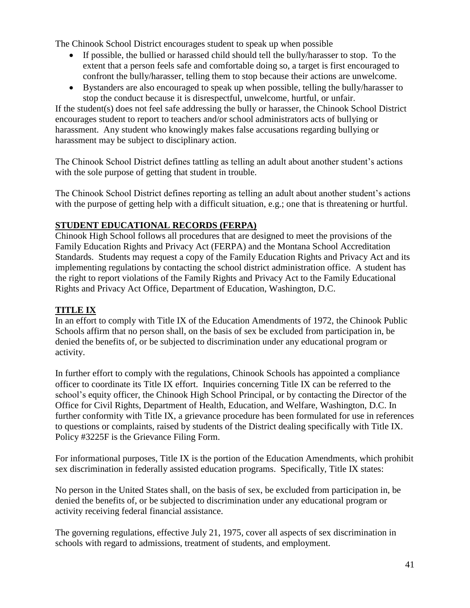The Chinook School District encourages student to speak up when possible

- If possible, the bullied or harassed child should tell the bully/harasser to stop. To the extent that a person feels safe and comfortable doing so, a target is first encouraged to confront the bully/harasser, telling them to stop because their actions are unwelcome.
- Bystanders are also encouraged to speak up when possible, telling the bully/harasser to stop the conduct because it is disrespectful, unwelcome, hurtful, or unfair.

If the student(s) does not feel safe addressing the bully or harasser, the Chinook School District encourages student to report to teachers and/or school administrators acts of bullying or harassment. Any student who knowingly makes false accusations regarding bullying or harassment may be subject to disciplinary action.

The Chinook School District defines tattling as telling an adult about another student's actions with the sole purpose of getting that student in trouble.

The Chinook School District defines reporting as telling an adult about another student's actions with the purpose of getting help with a difficult situation, e.g.; one that is threatening or hurtful.

# **STUDENT EDUCATIONAL RECORDS (FERPA)**

Chinook High School follows all procedures that are designed to meet the provisions of the Family Education Rights and Privacy Act (FERPA) and the Montana School Accreditation Standards. Students may request a copy of the Family Education Rights and Privacy Act and its implementing regulations by contacting the school district administration office. A student has the right to report violations of the Family Rights and Privacy Act to the Family Educational Rights and Privacy Act Office, Department of Education, Washington, D.C.

# **TITLE IX**

In an effort to comply with Title IX of the Education Amendments of 1972, the Chinook Public Schools affirm that no person shall, on the basis of sex be excluded from participation in, be denied the benefits of, or be subjected to discrimination under any educational program or activity.

In further effort to comply with the regulations, Chinook Schools has appointed a compliance officer to coordinate its Title IX effort. Inquiries concerning Title IX can be referred to the school's equity officer, the Chinook High School Principal, or by contacting the Director of the Office for Civil Rights, Department of Health, Education, and Welfare, Washington, D.C. In further conformity with Title IX, a grievance procedure has been formulated for use in references to questions or complaints, raised by students of the District dealing specifically with Title IX. Policy #3225F is the Grievance Filing Form.

For informational purposes, Title IX is the portion of the Education Amendments, which prohibit sex discrimination in federally assisted education programs. Specifically, Title IX states:

No person in the United States shall, on the basis of sex, be excluded from participation in, be denied the benefits of, or be subjected to discrimination under any educational program or activity receiving federal financial assistance.

The governing regulations, effective July 21, 1975, cover all aspects of sex discrimination in schools with regard to admissions, treatment of students, and employment.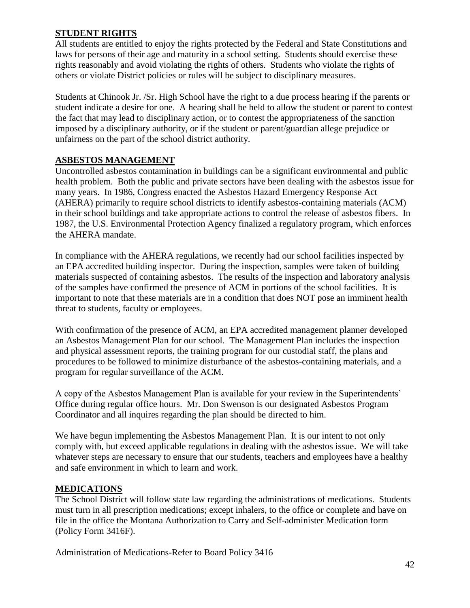### **STUDENT RIGHTS**

All students are entitled to enjoy the rights protected by the Federal and State Constitutions and laws for persons of their age and maturity in a school setting. Students should exercise these rights reasonably and avoid violating the rights of others. Students who violate the rights of others or violate District policies or rules will be subject to disciplinary measures.

Students at Chinook Jr. /Sr. High School have the right to a due process hearing if the parents or student indicate a desire for one. A hearing shall be held to allow the student or parent to contest the fact that may lead to disciplinary action, or to contest the appropriateness of the sanction imposed by a disciplinary authority, or if the student or parent/guardian allege prejudice or unfairness on the part of the school district authority.

# **ASBESTOS MANAGEMENT**

Uncontrolled asbestos contamination in buildings can be a significant environmental and public health problem. Both the public and private sectors have been dealing with the asbestos issue for many years. In 1986, Congress enacted the Asbestos Hazard Emergency Response Act (AHERA) primarily to require school districts to identify asbestos-containing materials (ACM) in their school buildings and take appropriate actions to control the release of asbestos fibers. In 1987, the U.S. Environmental Protection Agency finalized a regulatory program, which enforces the AHERA mandate.

In compliance with the AHERA regulations, we recently had our school facilities inspected by an EPA accredited building inspector. During the inspection, samples were taken of building materials suspected of containing asbestos. The results of the inspection and laboratory analysis of the samples have confirmed the presence of ACM in portions of the school facilities. It is important to note that these materials are in a condition that does NOT pose an imminent health threat to students, faculty or employees.

With confirmation of the presence of ACM, an EPA accredited management planner developed an Asbestos Management Plan for our school. The Management Plan includes the inspection and physical assessment reports, the training program for our custodial staff, the plans and procedures to be followed to minimize disturbance of the asbestos-containing materials, and a program for regular surveillance of the ACM.

A copy of the Asbestos Management Plan is available for your review in the Superintendents' Office during regular office hours. Mr. Don Swenson is our designated Asbestos Program Coordinator and all inquires regarding the plan should be directed to him.

We have begun implementing the Asbestos Management Plan. It is our intent to not only comply with, but exceed applicable regulations in dealing with the asbestos issue. We will take whatever steps are necessary to ensure that our students, teachers and employees have a healthy and safe environment in which to learn and work.

# **MEDICATIONS**

The School District will follow state law regarding the administrations of medications. Students must turn in all prescription medications; except inhalers, to the office or complete and have on file in the office the Montana Authorization to Carry and Self-administer Medication form (Policy Form 3416F).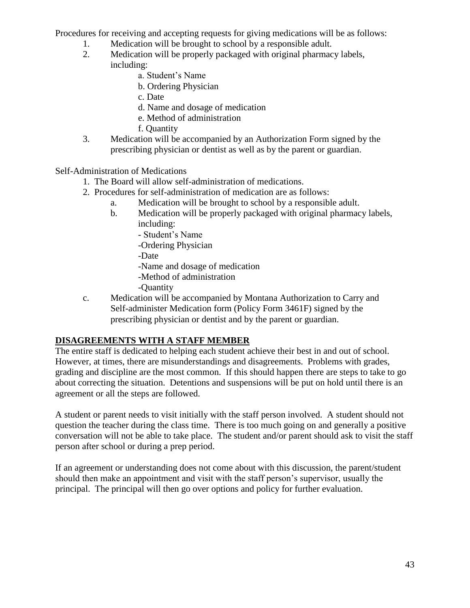Procedures for receiving and accepting requests for giving medications will be as follows:

- 1. Medication will be brought to school by a responsible adult.
- 2. Medication will be properly packaged with original pharmacy labels, including:
	- a. Student's Name
	- b. Ordering Physician
	- c. Date
	- d. Name and dosage of medication
	- e. Method of administration
	- f. Quantity
- 3. Medication will be accompanied by an Authorization Form signed by the prescribing physician or dentist as well as by the parent or guardian.

Self-Administration of Medications

- 1. The Board will allow self-administration of medications.
- 2. Procedures for self-administration of medication are as follows:
	- a. Medication will be brought to school by a responsible adult.
	- b. Medication will be properly packaged with original pharmacy labels, including:
		- Student's Name
		- -Ordering Physician
		- -Date
		- -Name and dosage of medication
		- -Method of administration
		- -Quantity
- c. Medication will be accompanied by Montana Authorization to Carry and Self-administer Medication form (Policy Form 3461F) signed by the prescribing physician or dentist and by the parent or guardian.

### **DISAGREEMENTS WITH A STAFF MEMBER**

The entire staff is dedicated to helping each student achieve their best in and out of school. However, at times, there are misunderstandings and disagreements. Problems with grades, grading and discipline are the most common. If this should happen there are steps to take to go about correcting the situation. Detentions and suspensions will be put on hold until there is an agreement or all the steps are followed.

A student or parent needs to visit initially with the staff person involved. A student should not question the teacher during the class time. There is too much going on and generally a positive conversation will not be able to take place. The student and/or parent should ask to visit the staff person after school or during a prep period.

If an agreement or understanding does not come about with this discussion, the parent/student should then make an appointment and visit with the staff person's supervisor, usually the principal. The principal will then go over options and policy for further evaluation.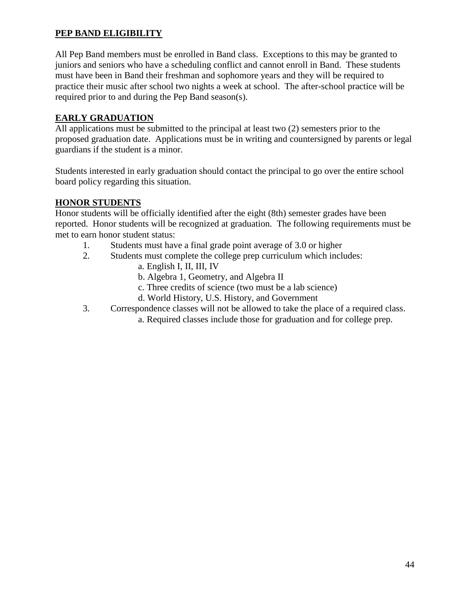# **PEP BAND ELIGIBILITY**

All Pep Band members must be enrolled in Band class. Exceptions to this may be granted to juniors and seniors who have a scheduling conflict and cannot enroll in Band. These students must have been in Band their freshman and sophomore years and they will be required to practice their music after school two nights a week at school. The after-school practice will be required prior to and during the Pep Band season(s).

### **EARLY GRADUATION**

All applications must be submitted to the principal at least two (2) semesters prior to the proposed graduation date. Applications must be in writing and countersigned by parents or legal guardians if the student is a minor.

Students interested in early graduation should contact the principal to go over the entire school board policy regarding this situation.

### **HONOR STUDENTS**

Honor students will be officially identified after the eight (8th) semester grades have been reported. Honor students will be recognized at graduation. The following requirements must be met to earn honor student status:

- 1. Students must have a final grade point average of 3.0 or higher
- 2. Students must complete the college prep curriculum which includes:
	- a. English I, II, III, IV
	- b. Algebra 1, Geometry, and Algebra II
	- c. Three credits of science (two must be a lab science)
	- d. World History, U.S. History, and Government
- 3. Correspondence classes will not be allowed to take the place of a required class.
	- a. Required classes include those for graduation and for college prep.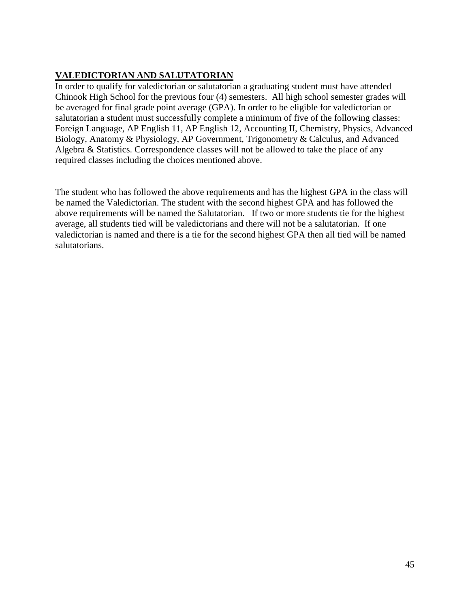# **VALEDICTORIAN AND SALUTATORIAN**

In order to qualify for valedictorian or salutatorian a graduating student must have attended Chinook High School for the previous four (4) semesters. All high school semester grades will be averaged for final grade point average (GPA). In order to be eligible for valedictorian or salutatorian a student must successfully complete a minimum of five of the following classes: Foreign Language, AP English 11, AP English 12, Accounting II, Chemistry, Physics, Advanced Biology, Anatomy & Physiology, AP Government, Trigonometry & Calculus, and Advanced Algebra & Statistics. Correspondence classes will not be allowed to take the place of any required classes including the choices mentioned above.

The student who has followed the above requirements and has the highest GPA in the class will be named the Valedictorian. The student with the second highest GPA and has followed the above requirements will be named the Salutatorian. If two or more students tie for the highest average, all students tied will be valedictorians and there will not be a salutatorian. If one valedictorian is named and there is a tie for the second highest GPA then all tied will be named salutatorians.